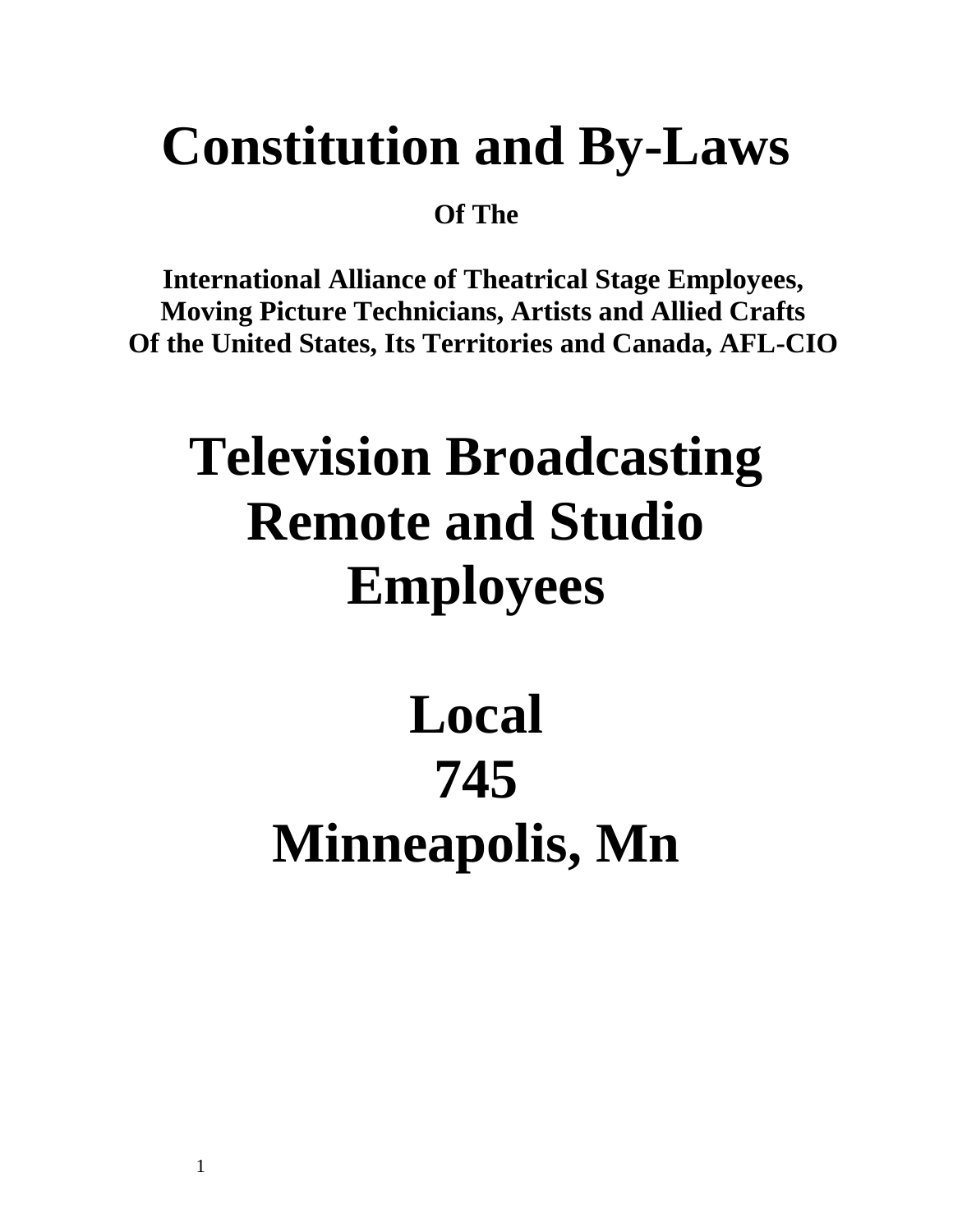# **Constitution and By-Laws**

**Of The**

**International Alliance of Theatrical Stage Employees, Moving Picture Technicians, Artists and Allied Crafts Of the United States, Its Territories and Canada, AFL-CIO**

# **Television Broadcasting Remote and Studio Employees**

# **Local 745 Minneapolis, Mn**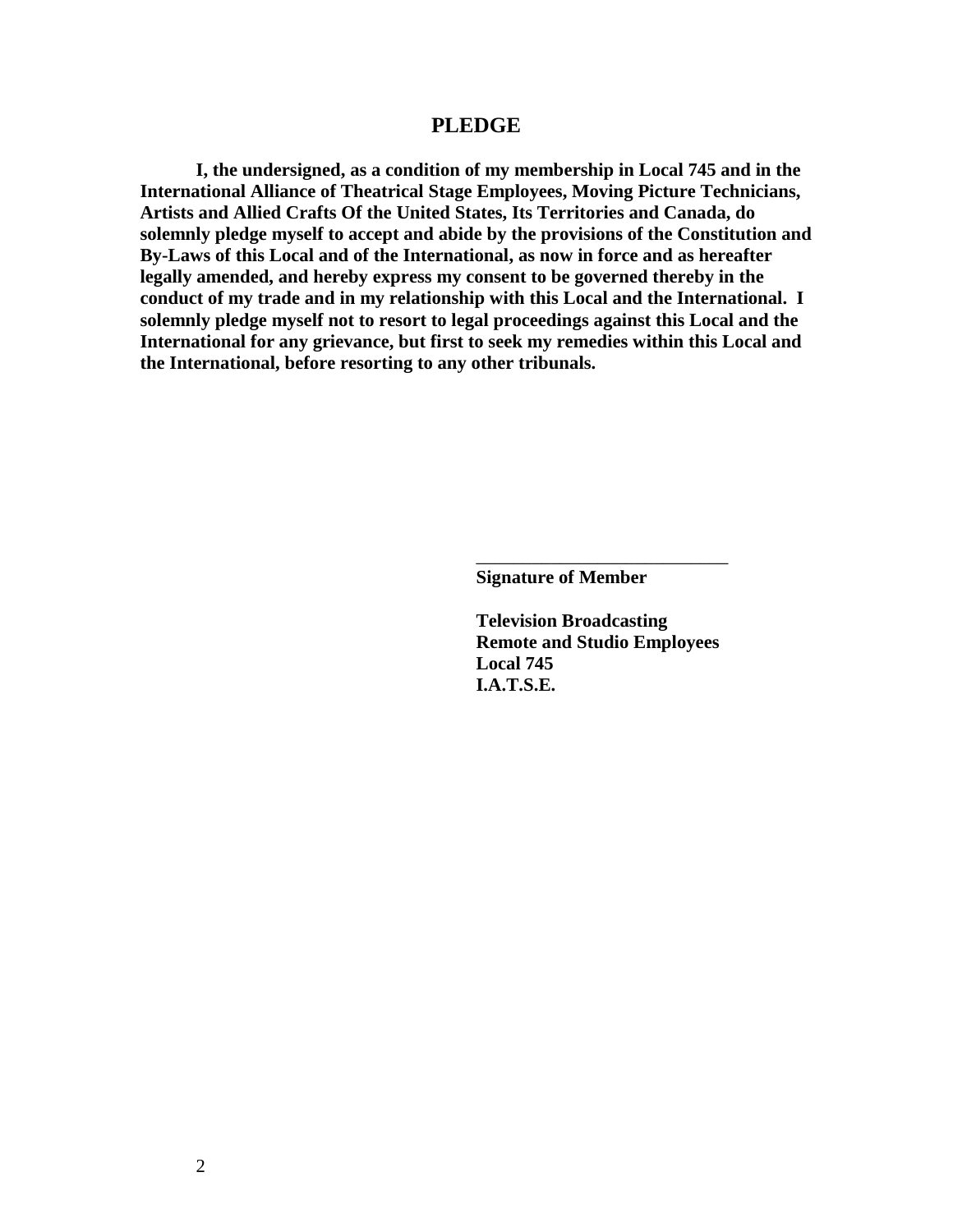#### **PLEDGE**

**I, the undersigned, as a condition of my membership in Local 745 and in the International Alliance of Theatrical Stage Employees, Moving Picture Technicians, Artists and Allied Crafts Of the United States, Its Territories and Canada, do solemnly pledge myself to accept and abide by the provisions of the Constitution and By-Laws of this Local and of the International, as now in force and as hereafter legally amended, and hereby express my consent to be governed thereby in the conduct of my trade and in my relationship with this Local and the International. I solemnly pledge myself not to resort to legal proceedings against this Local and the International for any grievance, but first to seek my remedies within this Local and the International, before resorting to any other tribunals.**

**Signature of Member**

**Television Broadcasting Remote and Studio Employees Local 745 I.A.T.S.E.**

\_\_\_\_\_\_\_\_\_\_\_\_\_\_\_\_\_\_\_\_\_\_\_\_\_\_\_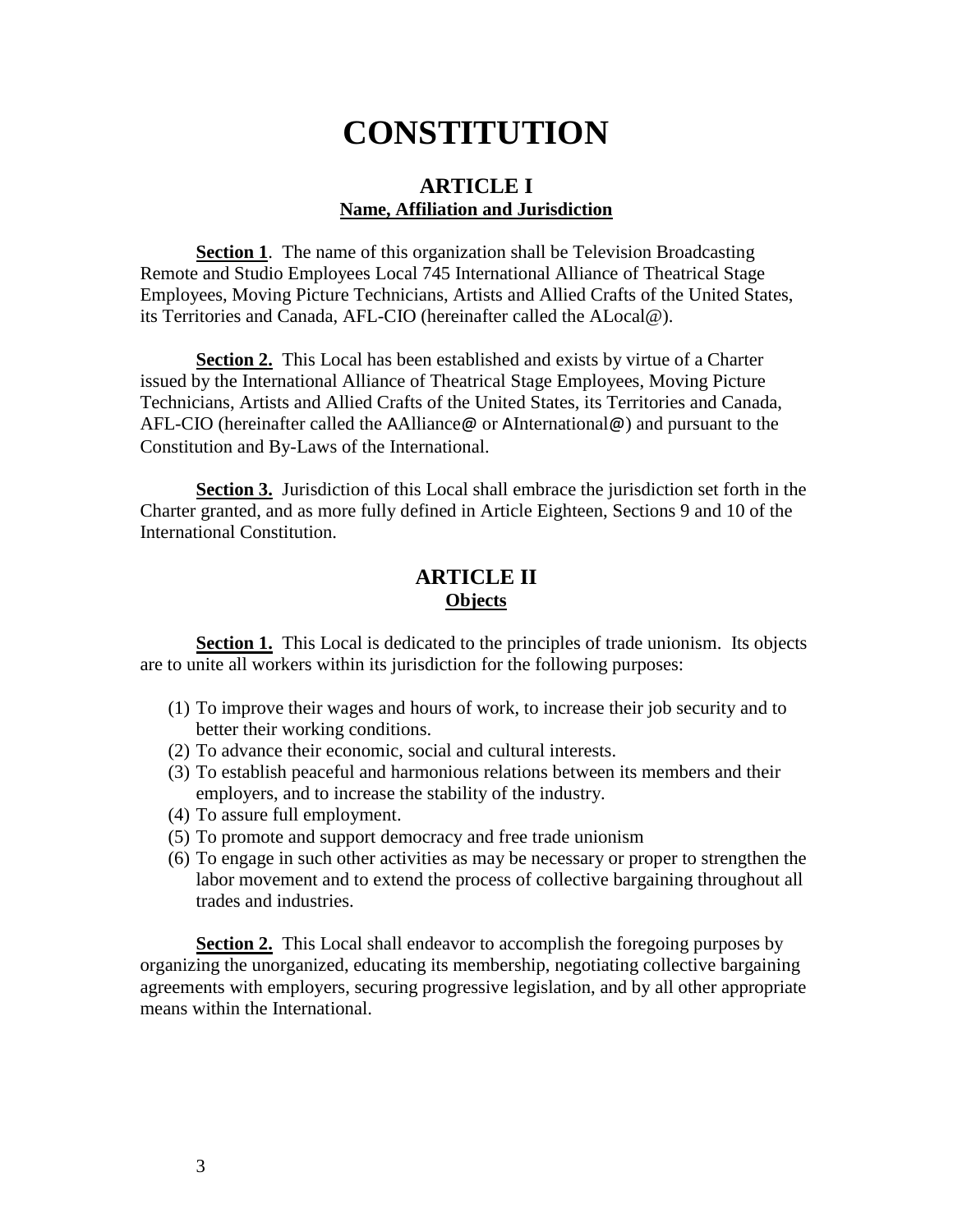# **CONSTITUTION**

# **ARTICLE I Name, Affiliation and Jurisdiction**

**Section 1.** The name of this organization shall be Television Broadcasting Remote and Studio Employees Local 745 International Alliance of Theatrical Stage Employees, Moving Picture Technicians, Artists and Allied Crafts of the United States, its Territories and Canada, AFL-CIO (hereinafter called the ALocal@).

**Section 2.** This Local has been established and exists by virtue of a Charter issued by the International Alliance of Theatrical Stage Employees, Moving Picture Technicians, Artists and Allied Crafts of the United States, its Territories and Canada, AFL-CIO (hereinafter called the AAlliance@ or AInternational@) and pursuant to the Constitution and By-Laws of the International.

**Section 3.** Jurisdiction of this Local shall embrace the jurisdiction set forth in the Charter granted, and as more fully defined in Article Eighteen, Sections 9 and 10 of the International Constitution.

# **ARTICLE II Objects**

**Section 1.** This Local is dedicated to the principles of trade unionism. Its objects are to unite all workers within its jurisdiction for the following purposes:

- (1) To improve their wages and hours of work, to increase their job security and to better their working conditions.
- (2) To advance their economic, social and cultural interests.
- (3) To establish peaceful and harmonious relations between its members and their employers, and to increase the stability of the industry.
- (4) To assure full employment.
- (5) To promote and support democracy and free trade unionism
- (6) To engage in such other activities as may be necessary or proper to strengthen the labor movement and to extend the process of collective bargaining throughout all trades and industries.

**Section 2.** This Local shall endeavor to accomplish the foregoing purposes by organizing the unorganized, educating its membership, negotiating collective bargaining agreements with employers, securing progressive legislation, and by all other appropriate means within the International.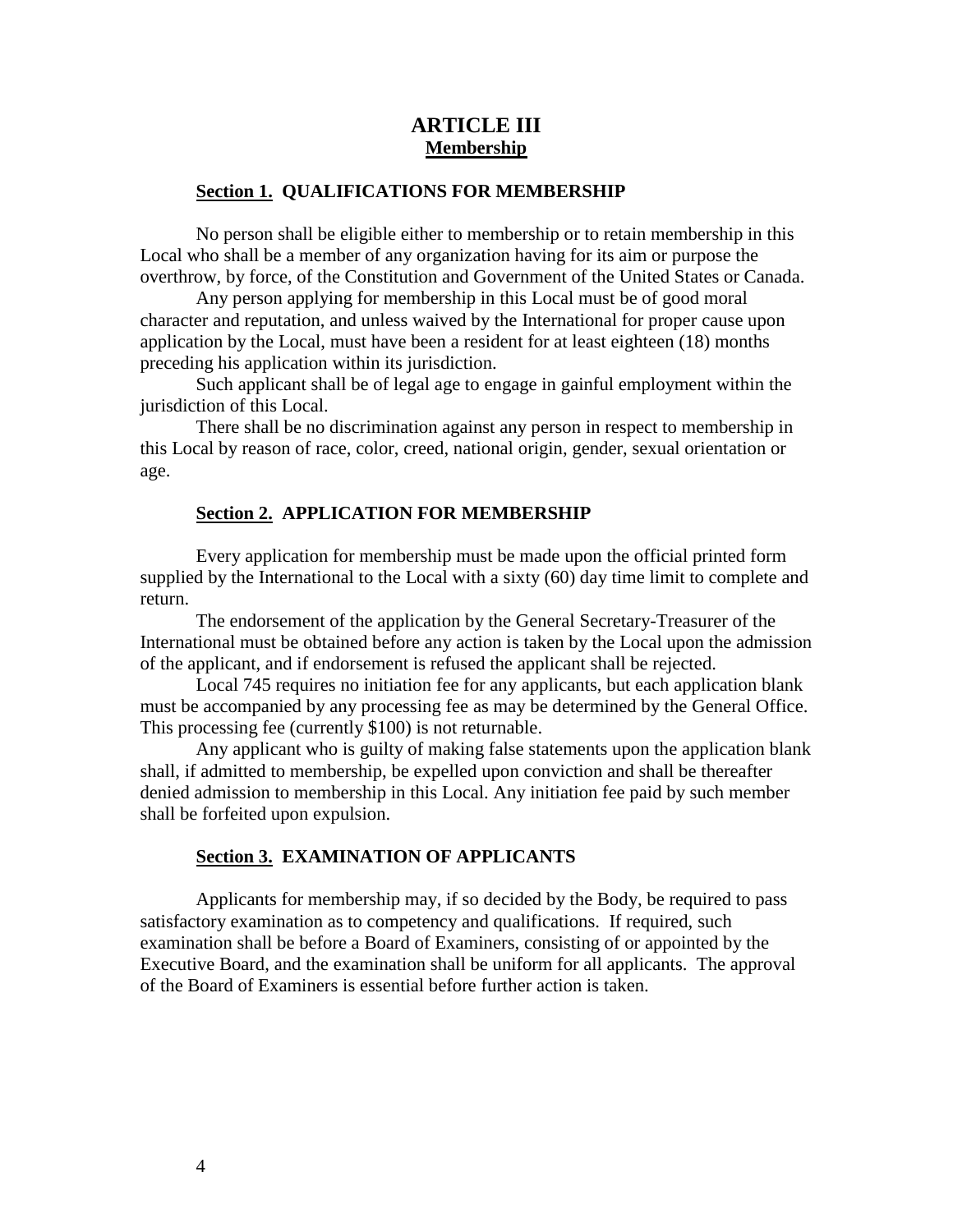# **ARTICLE III Membership**

# **Section 1. QUALIFICATIONS FOR MEMBERSHIP**

No person shall be eligible either to membership or to retain membership in this Local who shall be a member of any organization having for its aim or purpose the overthrow, by force, of the Constitution and Government of the United States or Canada.

Any person applying for membership in this Local must be of good moral character and reputation, and unless waived by the International for proper cause upon application by the Local, must have been a resident for at least eighteen (18) months preceding his application within its jurisdiction.

Such applicant shall be of legal age to engage in gainful employment within the jurisdiction of this Local.

There shall be no discrimination against any person in respect to membership in this Local by reason of race, color, creed, national origin, gender, sexual orientation or age.

#### **Section 2. APPLICATION FOR MEMBERSHIP**

Every application for membership must be made upon the official printed form supplied by the International to the Local with a sixty (60) day time limit to complete and return.

The endorsement of the application by the General Secretary-Treasurer of the International must be obtained before any action is taken by the Local upon the admission of the applicant, and if endorsement is refused the applicant shall be rejected.

Local 745 requires no initiation fee for any applicants, but each application blank must be accompanied by any processing fee as may be determined by the General Office. This processing fee (currently \$100) is not returnable.

Any applicant who is guilty of making false statements upon the application blank shall, if admitted to membership, be expelled upon conviction and shall be thereafter denied admission to membership in this Local. Any initiation fee paid by such member shall be forfeited upon expulsion.

#### **Section 3. EXAMINATION OF APPLICANTS**

Applicants for membership may, if so decided by the Body, be required to pass satisfactory examination as to competency and qualifications. If required, such examination shall be before a Board of Examiners, consisting of or appointed by the Executive Board, and the examination shall be uniform for all applicants. The approval of the Board of Examiners is essential before further action is taken.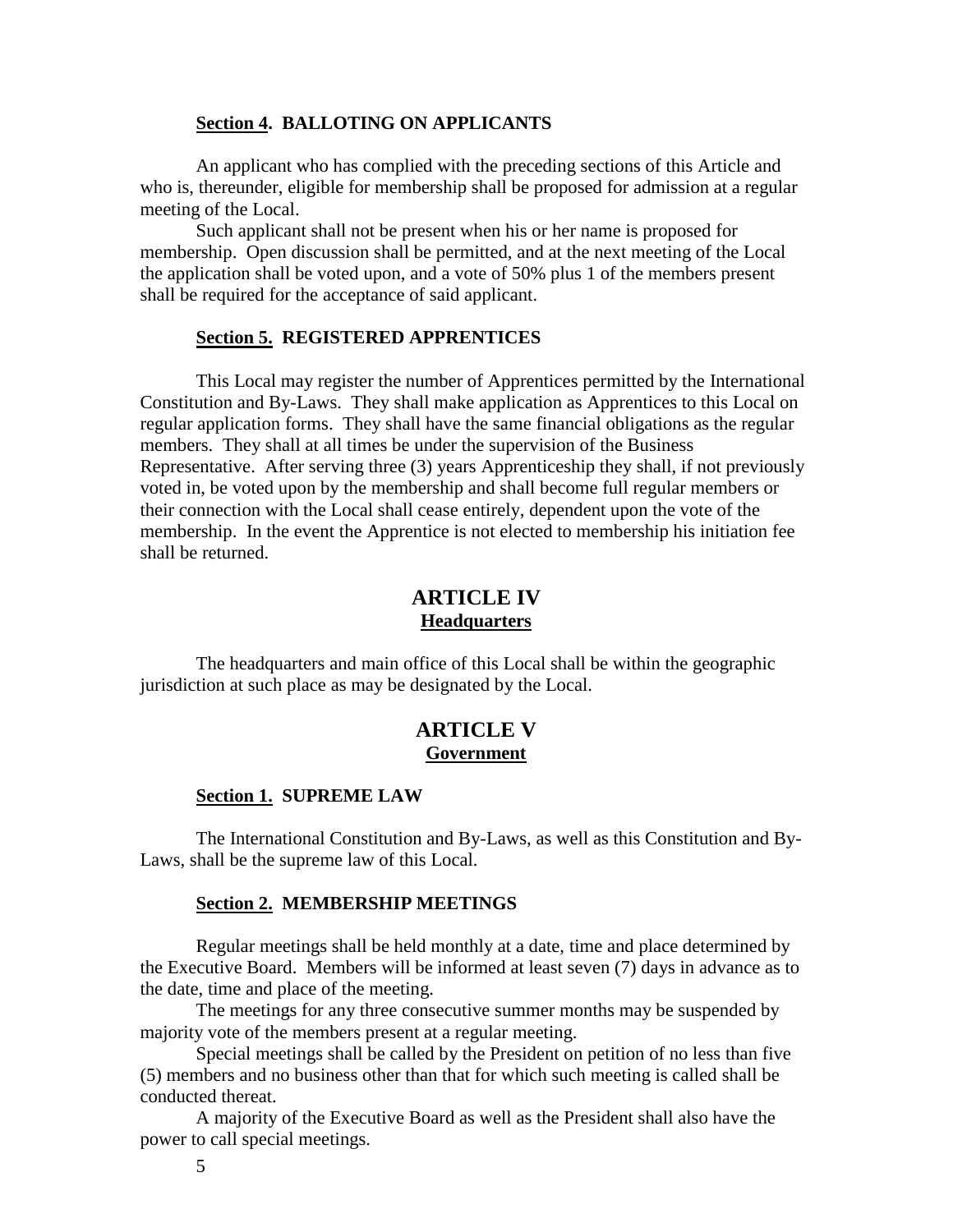#### **Section 4. BALLOTING ON APPLICANTS**

An applicant who has complied with the preceding sections of this Article and who is, thereunder, eligible for membership shall be proposed for admission at a regular meeting of the Local.

Such applicant shall not be present when his or her name is proposed for membership. Open discussion shall be permitted, and at the next meeting of the Local the application shall be voted upon, and a vote of 50% plus 1 of the members present shall be required for the acceptance of said applicant.

#### **Section 5. REGISTERED APPRENTICES**

This Local may register the number of Apprentices permitted by the International Constitution and By-Laws. They shall make application as Apprentices to this Local on regular application forms. They shall have the same financial obligations as the regular members. They shall at all times be under the supervision of the Business Representative. After serving three (3) years Apprenticeship they shall, if not previously voted in, be voted upon by the membership and shall become full regular members or their connection with the Local shall cease entirely, dependent upon the vote of the membership. In the event the Apprentice is not elected to membership his initiation fee shall be returned.

# **ARTICLE IV Headquarters**

The headquarters and main office of this Local shall be within the geographic jurisdiction at such place as may be designated by the Local.

# **ARTICLE V Government**

#### **Section 1. SUPREME LAW**

The International Constitution and By-Laws, as well as this Constitution and By-Laws, shall be the supreme law of this Local.

#### **Section 2. MEMBERSHIP MEETINGS**

Regular meetings shall be held monthly at a date, time and place determined by the Executive Board. Members will be informed at least seven (7) days in advance as to the date, time and place of the meeting.

The meetings for any three consecutive summer months may be suspended by majority vote of the members present at a regular meeting.

Special meetings shall be called by the President on petition of no less than five (5) members and no business other than that for which such meeting is called shall be conducted thereat.

A majority of the Executive Board as well as the President shall also have the power to call special meetings.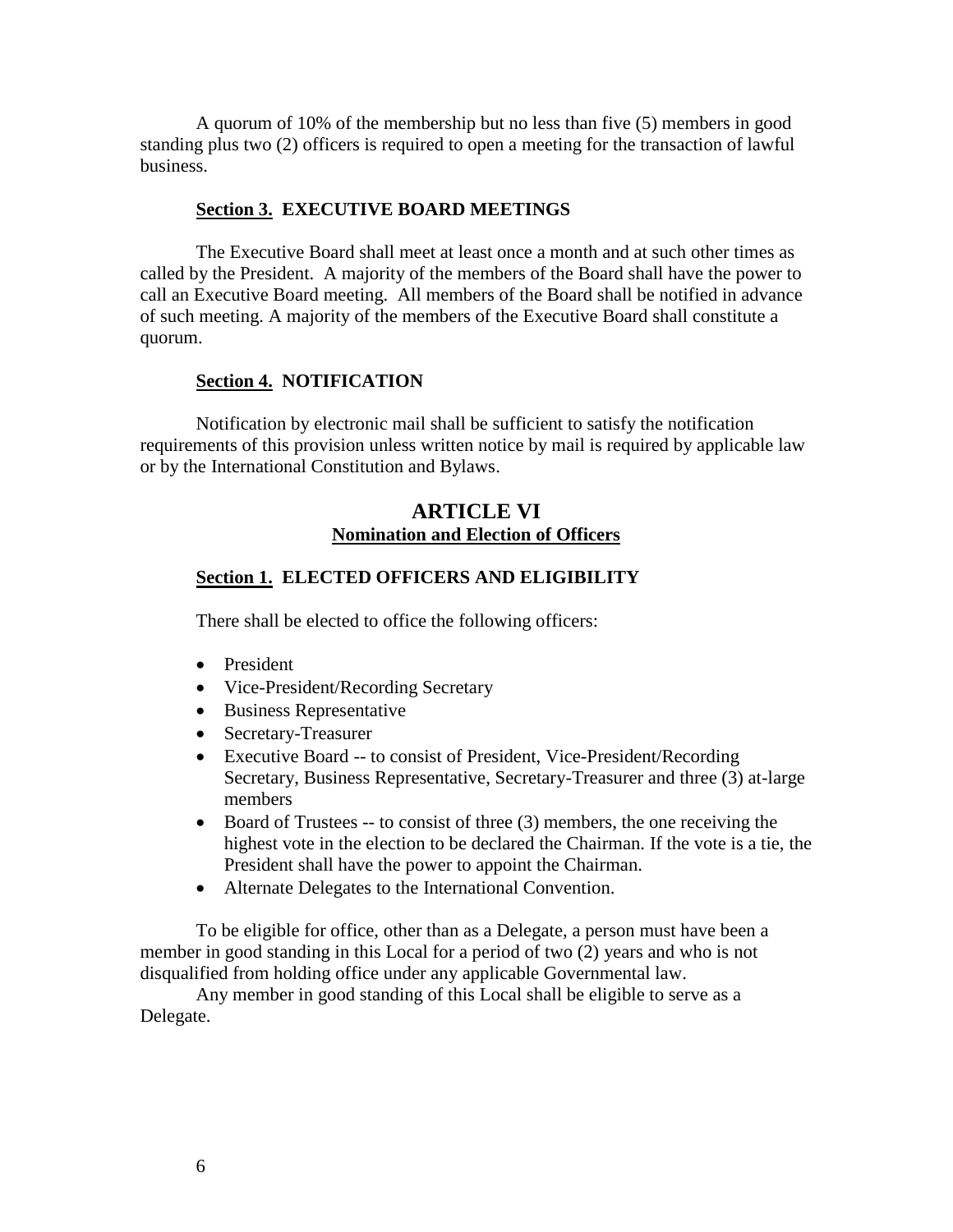A quorum of 10% of the membership but no less than five (5) members in good standing plus two (2) officers is required to open a meeting for the transaction of lawful business.

#### **Section 3. EXECUTIVE BOARD MEETINGS**

The Executive Board shall meet at least once a month and at such other times as called by the President. A majority of the members of the Board shall have the power to call an Executive Board meeting. All members of the Board shall be notified in advance of such meeting. A majority of the members of the Executive Board shall constitute a quorum.

#### **Section 4. NOTIFICATION**

Notification by electronic mail shall be sufficient to satisfy the notification requirements of this provision unless written notice by mail is required by applicable law or by the International Constitution and Bylaws.

# **ARTICLE VI Nomination and Election of Officers**

#### **Section 1. ELECTED OFFICERS AND ELIGIBILITY**

There shall be elected to office the following officers:

- President
- Vice-President/Recording Secretary
- Business Representative
- Secretary-Treasurer
- Executive Board -- to consist of President, Vice-President/Recording Secretary, Business Representative, Secretary-Treasurer and three (3) at-large members
- Board of Trustees -- to consist of three (3) members, the one receiving the highest vote in the election to be declared the Chairman. If the vote is a tie, the President shall have the power to appoint the Chairman.
- Alternate Delegates to the International Convention.

To be eligible for office, other than as a Delegate, a person must have been a member in good standing in this Local for a period of two (2) years and who is not disqualified from holding office under any applicable Governmental law.

Any member in good standing of this Local shall be eligible to serve as a Delegate.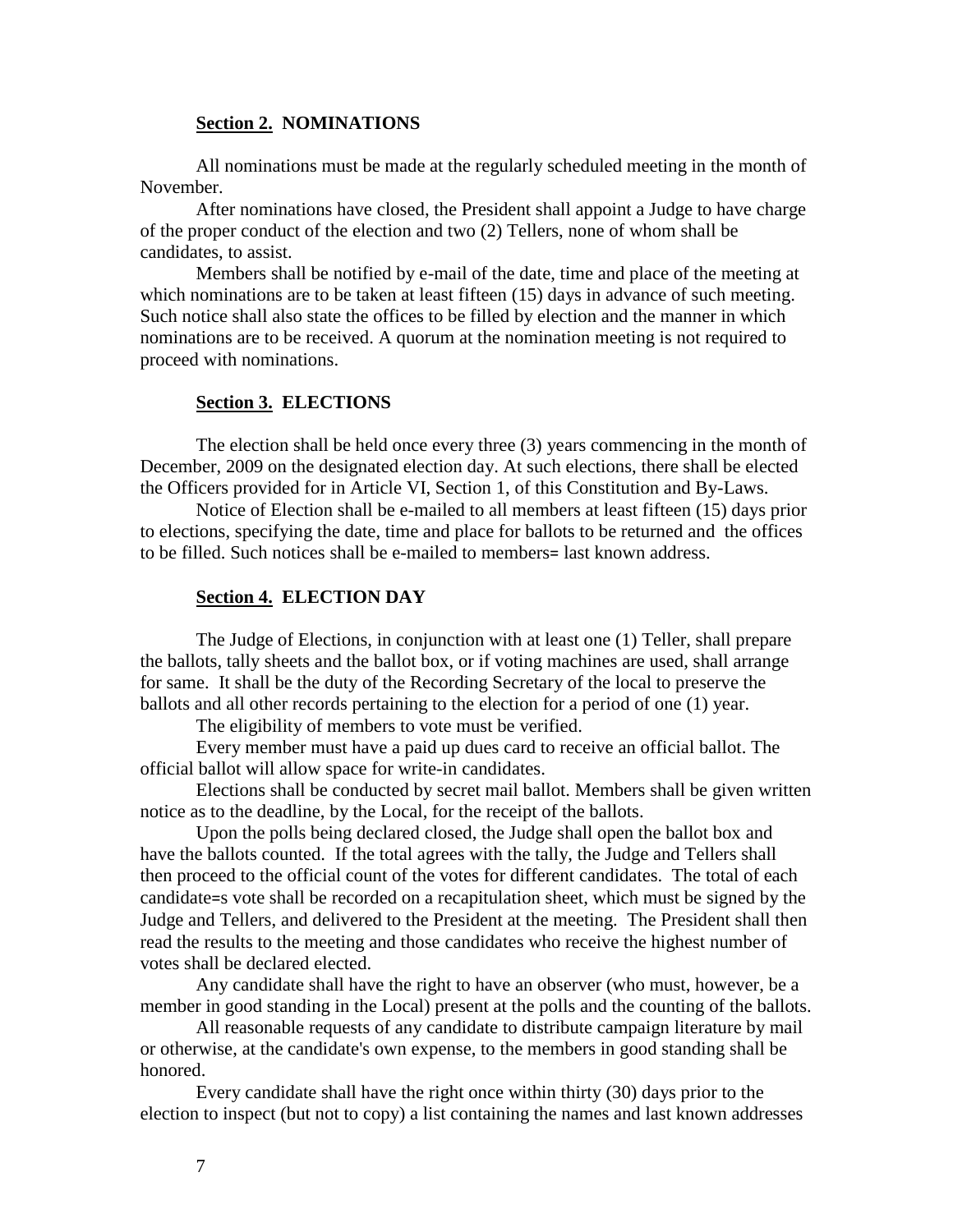#### **Section 2. NOMINATIONS**

All nominations must be made at the regularly scheduled meeting in the month of November.

After nominations have closed, the President shall appoint a Judge to have charge of the proper conduct of the election and two (2) Tellers, none of whom shall be candidates, to assist.

Members shall be notified by e-mail of the date, time and place of the meeting at which nominations are to be taken at least fifteen (15) days in advance of such meeting. Such notice shall also state the offices to be filled by election and the manner in which nominations are to be received. A quorum at the nomination meeting is not required to proceed with nominations.

#### **Section 3. ELECTIONS**

The election shall be held once every three (3) years commencing in the month of December, 2009 on the designated election day. At such elections, there shall be elected the Officers provided for in Article VI, Section 1, of this Constitution and By-Laws.

Notice of Election shall be e-mailed to all members at least fifteen (15) days prior to elections, specifying the date, time and place for ballots to be returned and the offices to be filled. Such notices shall be e-mailed to members= last known address.

#### **Section 4. ELECTION DAY**

The Judge of Elections, in conjunction with at least one (1) Teller, shall prepare the ballots, tally sheets and the ballot box, or if voting machines are used, shall arrange for same. It shall be the duty of the Recording Secretary of the local to preserve the ballots and all other records pertaining to the election for a period of one (1) year.

The eligibility of members to vote must be verified.

Every member must have a paid up dues card to receive an official ballot. The official ballot will allow space for write-in candidates.

Elections shall be conducted by secret mail ballot. Members shall be given written notice as to the deadline, by the Local, for the receipt of the ballots.

Upon the polls being declared closed, the Judge shall open the ballot box and have the ballots counted. If the total agrees with the tally, the Judge and Tellers shall then proceed to the official count of the votes for different candidates. The total of each candidate=s vote shall be recorded on a recapitulation sheet, which must be signed by the Judge and Tellers, and delivered to the President at the meeting. The President shall then read the results to the meeting and those candidates who receive the highest number of votes shall be declared elected.

Any candidate shall have the right to have an observer (who must, however, be a member in good standing in the Local) present at the polls and the counting of the ballots.

All reasonable requests of any candidate to distribute campaign literature by mail or otherwise, at the candidate's own expense, to the members in good standing shall be honored.

Every candidate shall have the right once within thirty (30) days prior to the election to inspect (but not to copy) a list containing the names and last known addresses

7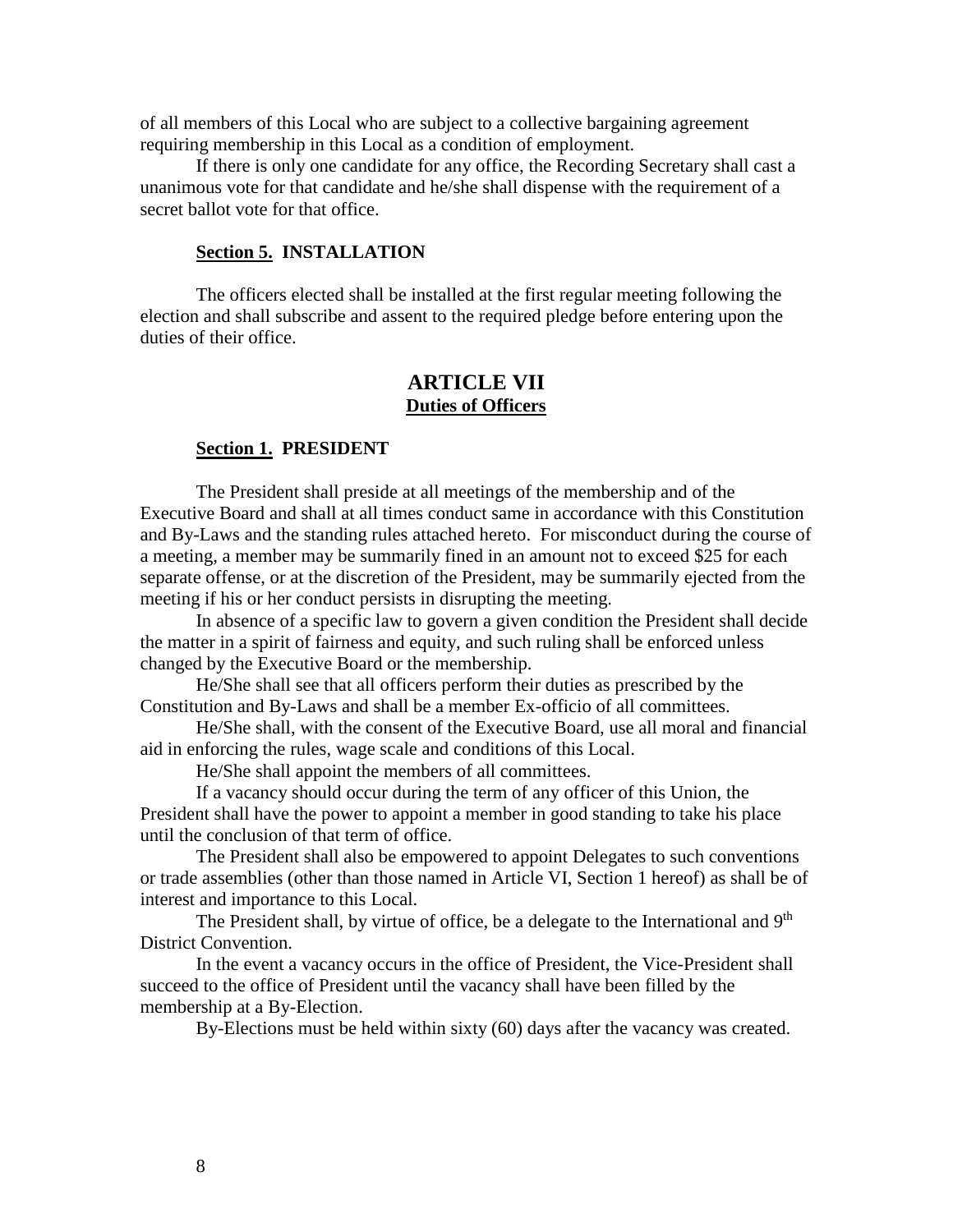of all members of this Local who are subject to a collective bargaining agreement requiring membership in this Local as a condition of employment.

If there is only one candidate for any office, the Recording Secretary shall cast a unanimous vote for that candidate and he/she shall dispense with the requirement of a secret ballot vote for that office.

#### **Section 5. INSTALLATION**

The officers elected shall be installed at the first regular meeting following the election and shall subscribe and assent to the required pledge before entering upon the duties of their office.

# **ARTICLE VII Duties of Officers**

#### **Section 1. PRESIDENT**

The President shall preside at all meetings of the membership and of the Executive Board and shall at all times conduct same in accordance with this Constitution and By-Laws and the standing rules attached hereto. For misconduct during the course of a meeting, a member may be summarily fined in an amount not to exceed \$25 for each separate offense, or at the discretion of the President, may be summarily ejected from the meeting if his or her conduct persists in disrupting the meeting.

In absence of a specific law to govern a given condition the President shall decide the matter in a spirit of fairness and equity, and such ruling shall be enforced unless changed by the Executive Board or the membership.

He/She shall see that all officers perform their duties as prescribed by the Constitution and By-Laws and shall be a member Ex-officio of all committees.

He/She shall, with the consent of the Executive Board, use all moral and financial aid in enforcing the rules, wage scale and conditions of this Local.

He/She shall appoint the members of all committees.

If a vacancy should occur during the term of any officer of this Union, the President shall have the power to appoint a member in good standing to take his place until the conclusion of that term of office.

The President shall also be empowered to appoint Delegates to such conventions or trade assemblies (other than those named in Article VI, Section 1 hereof) as shall be of interest and importance to this Local.

The President shall, by virtue of office, be a delegate to the International and 9<sup>th</sup> District Convention.

In the event a vacancy occurs in the office of President, the Vice-President shall succeed to the office of President until the vacancy shall have been filled by the membership at a By-Election.

By-Elections must be held within sixty (60) days after the vacancy was created.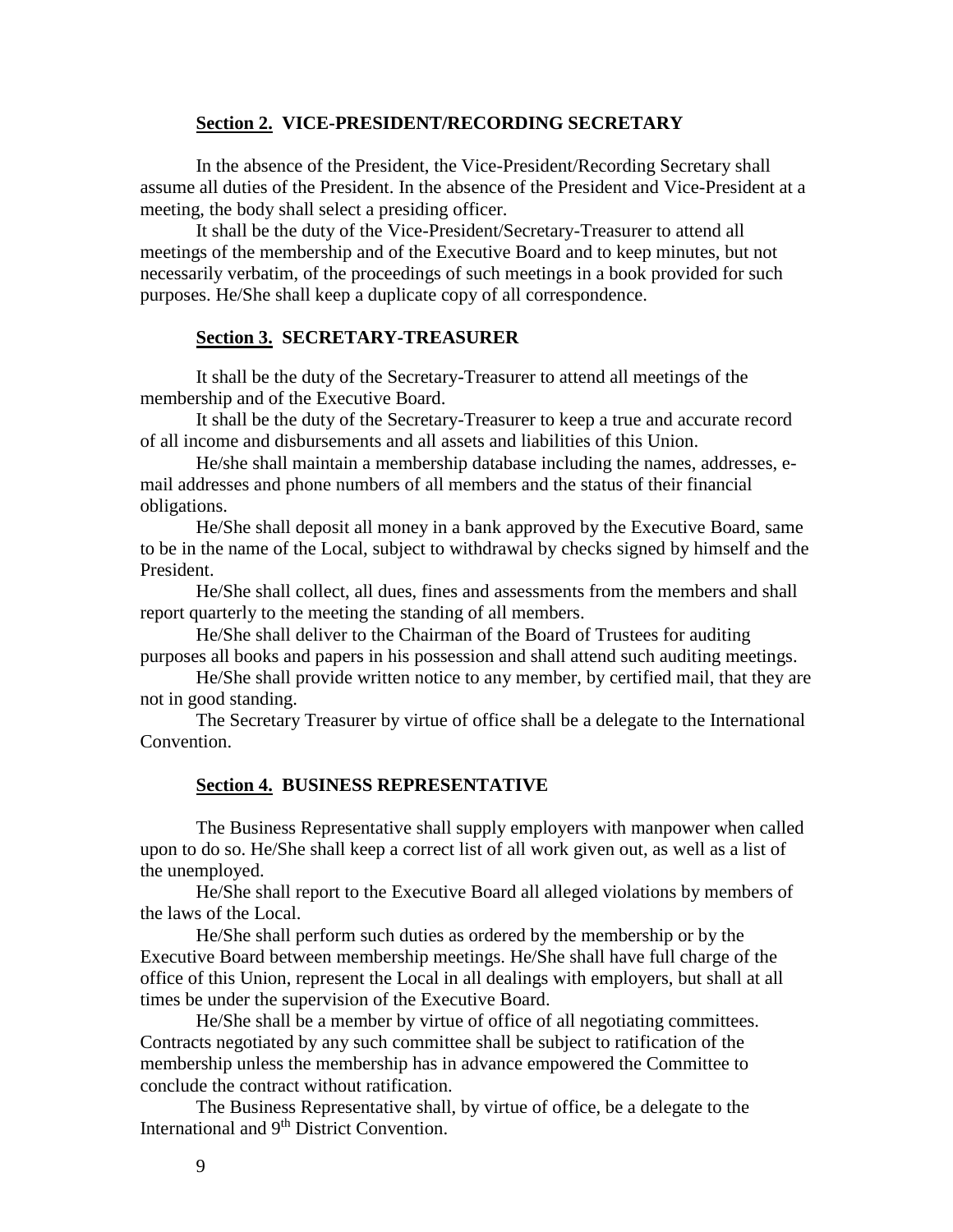#### **Section 2. VICE-PRESIDENT/RECORDING SECRETARY**

In the absence of the President, the Vice-President/Recording Secretary shall assume all duties of the President. In the absence of the President and Vice-President at a meeting, the body shall select a presiding officer.

It shall be the duty of the Vice-President/Secretary-Treasurer to attend all meetings of the membership and of the Executive Board and to keep minutes, but not necessarily verbatim, of the proceedings of such meetings in a book provided for such purposes. He/She shall keep a duplicate copy of all correspondence.

#### **Section 3. SECRETARY-TREASURER**

It shall be the duty of the Secretary-Treasurer to attend all meetings of the membership and of the Executive Board.

It shall be the duty of the Secretary-Treasurer to keep a true and accurate record of all income and disbursements and all assets and liabilities of this Union.

He/she shall maintain a membership database including the names, addresses, email addresses and phone numbers of all members and the status of their financial obligations.

He/She shall deposit all money in a bank approved by the Executive Board, same to be in the name of the Local, subject to withdrawal by checks signed by himself and the President.

He/She shall collect, all dues, fines and assessments from the members and shall report quarterly to the meeting the standing of all members.

He/She shall deliver to the Chairman of the Board of Trustees for auditing purposes all books and papers in his possession and shall attend such auditing meetings.

He/She shall provide written notice to any member, by certified mail, that they are not in good standing.

The Secretary Treasurer by virtue of office shall be a delegate to the International Convention.

#### **Section 4. BUSINESS REPRESENTATIVE**

The Business Representative shall supply employers with manpower when called upon to do so. He/She shall keep a correct list of all work given out, as well as a list of the unemployed.

He/She shall report to the Executive Board all alleged violations by members of the laws of the Local.

He/She shall perform such duties as ordered by the membership or by the Executive Board between membership meetings. He/She shall have full charge of the office of this Union, represent the Local in all dealings with employers, but shall at all times be under the supervision of the Executive Board.

He/She shall be a member by virtue of office of all negotiating committees. Contracts negotiated by any such committee shall be subject to ratification of the membership unless the membership has in advance empowered the Committee to conclude the contract without ratification.

The Business Representative shall, by virtue of office, be a delegate to the International and 9<sup>th</sup> District Convention.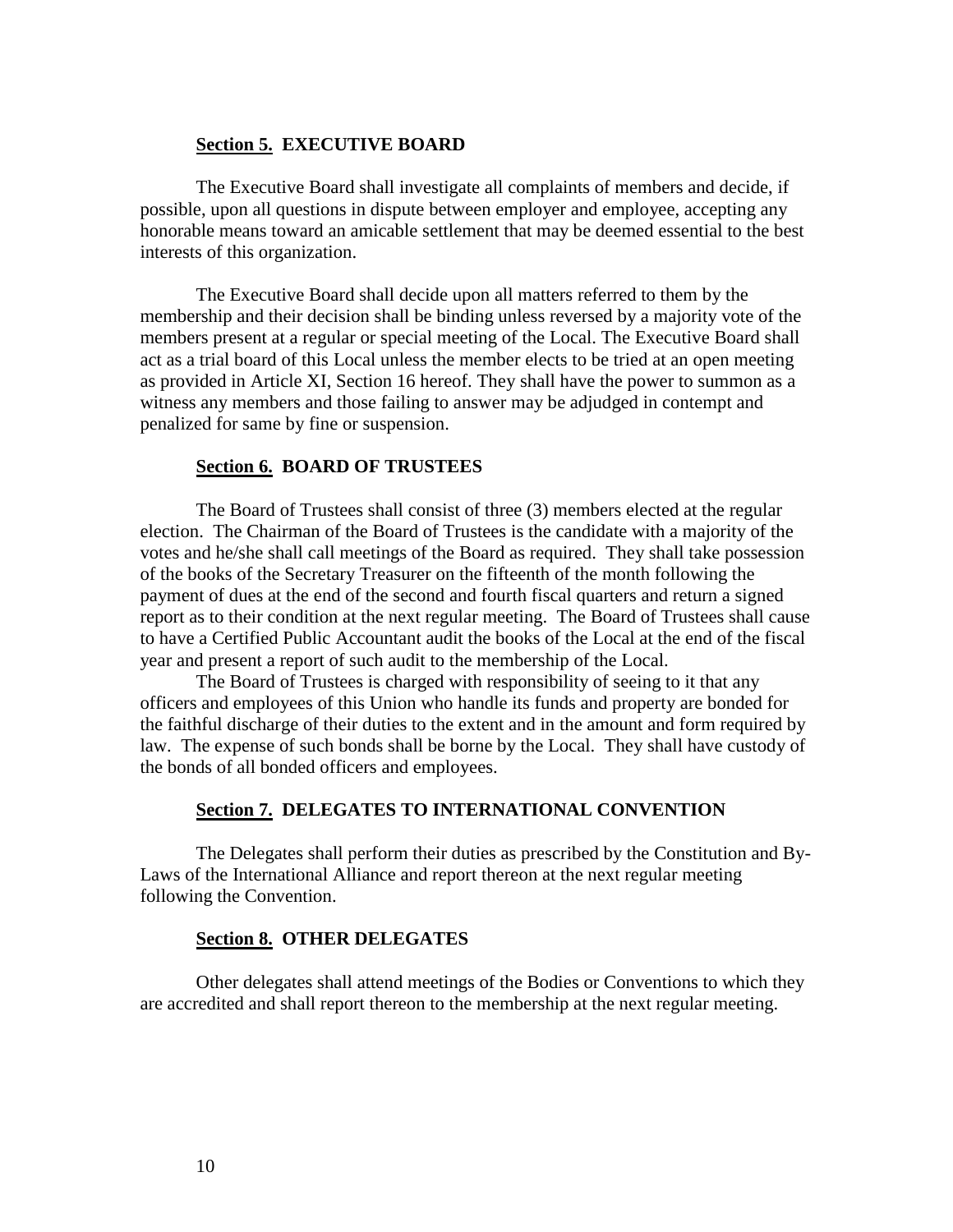#### **Section 5. EXECUTIVE BOARD**

The Executive Board shall investigate all complaints of members and decide, if possible, upon all questions in dispute between employer and employee, accepting any honorable means toward an amicable settlement that may be deemed essential to the best interests of this organization.

The Executive Board shall decide upon all matters referred to them by the membership and their decision shall be binding unless reversed by a majority vote of the members present at a regular or special meeting of the Local. The Executive Board shall act as a trial board of this Local unless the member elects to be tried at an open meeting as provided in Article XI, Section 16 hereof. They shall have the power to summon as a witness any members and those failing to answer may be adjudged in contempt and penalized for same by fine or suspension.

#### **Section 6. BOARD OF TRUSTEES**

The Board of Trustees shall consist of three (3) members elected at the regular election. The Chairman of the Board of Trustees is the candidate with a majority of the votes and he/she shall call meetings of the Board as required. They shall take possession of the books of the Secretary Treasurer on the fifteenth of the month following the payment of dues at the end of the second and fourth fiscal quarters and return a signed report as to their condition at the next regular meeting. The Board of Trustees shall cause to have a Certified Public Accountant audit the books of the Local at the end of the fiscal year and present a report of such audit to the membership of the Local.

The Board of Trustees is charged with responsibility of seeing to it that any officers and employees of this Union who handle its funds and property are bonded for the faithful discharge of their duties to the extent and in the amount and form required by law. The expense of such bonds shall be borne by the Local. They shall have custody of the bonds of all bonded officers and employees.

#### **Section 7. DELEGATES TO INTERNATIONAL CONVENTION**

The Delegates shall perform their duties as prescribed by the Constitution and By-Laws of the International Alliance and report thereon at the next regular meeting following the Convention.

#### **Section 8. OTHER DELEGATES**

Other delegates shall attend meetings of the Bodies or Conventions to which they are accredited and shall report thereon to the membership at the next regular meeting.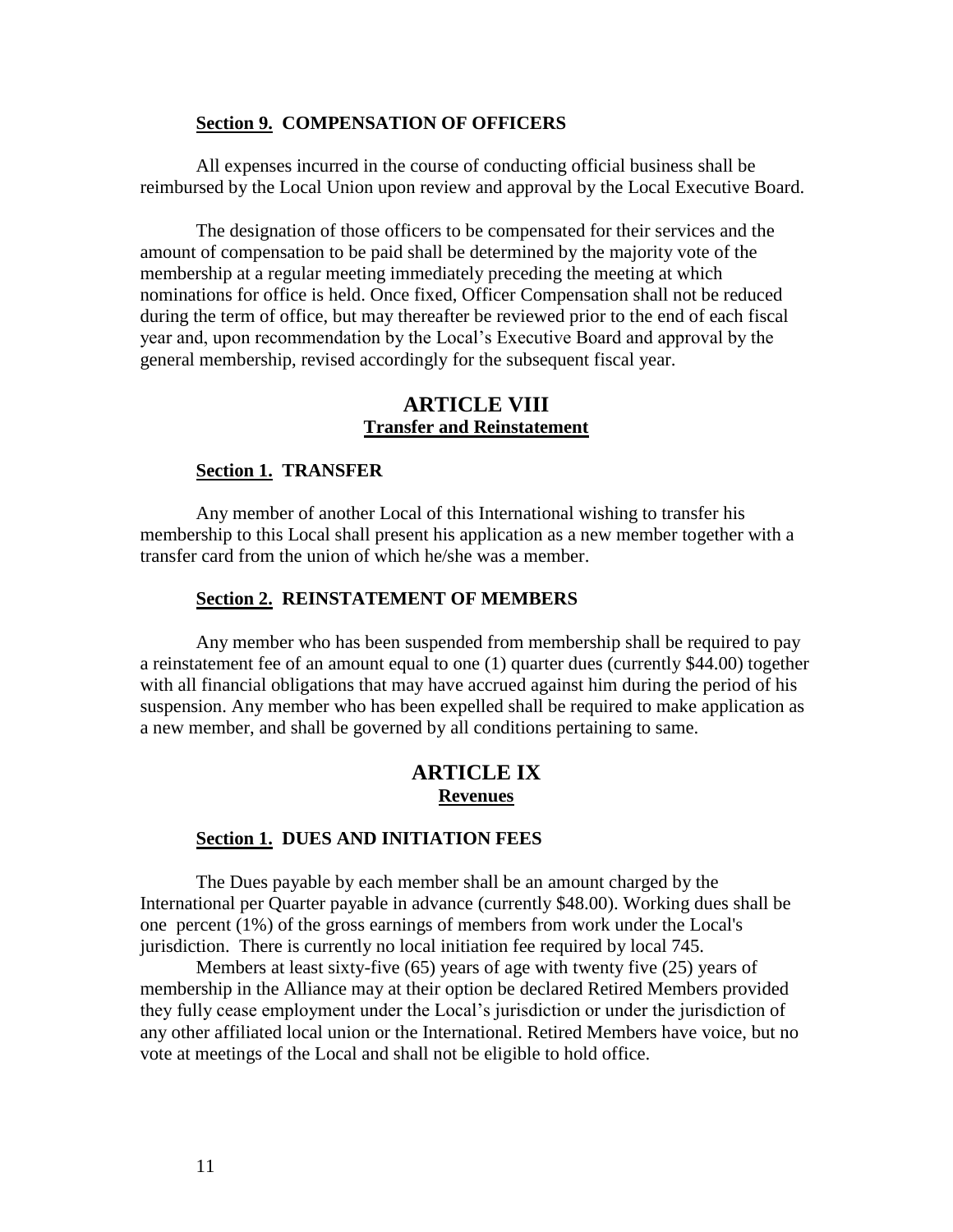#### **Section 9. COMPENSATION OF OFFICERS**

All expenses incurred in the course of conducting official business shall be reimbursed by the Local Union upon review and approval by the Local Executive Board.

The designation of those officers to be compensated for their services and the amount of compensation to be paid shall be determined by the majority vote of the membership at a regular meeting immediately preceding the meeting at which nominations for office is held. Once fixed, Officer Compensation shall not be reduced during the term of office, but may thereafter be reviewed prior to the end of each fiscal year and, upon recommendation by the Local's Executive Board and approval by the general membership, revised accordingly for the subsequent fiscal year.

# **ARTICLE VIII Transfer and Reinstatement**

#### **Section 1. TRANSFER**

Any member of another Local of this International wishing to transfer his membership to this Local shall present his application as a new member together with a transfer card from the union of which he/she was a member.

#### **Section 2. REINSTATEMENT OF MEMBERS**

Any member who has been suspended from membership shall be required to pay a reinstatement fee of an amount equal to one (1) quarter dues (currently \$44.00) together with all financial obligations that may have accrued against him during the period of his suspension. Any member who has been expelled shall be required to make application as a new member, and shall be governed by all conditions pertaining to same.

# **ARTICLE IX Revenues**

#### **Section 1. DUES AND INITIATION FEES**

The Dues payable by each member shall be an amount charged by the International per Quarter payable in advance (currently \$48.00). Working dues shall be one percent (1%) of the gross earnings of members from work under the Local's jurisdiction. There is currently no local initiation fee required by local 745.

Members at least sixty-five (65) years of age with twenty five (25) years of membership in the Alliance may at their option be declared Retired Members provided they fully cease employment under the Local's jurisdiction or under the jurisdiction of any other affiliated local union or the International. Retired Members have voice, but no vote at meetings of the Local and shall not be eligible to hold office.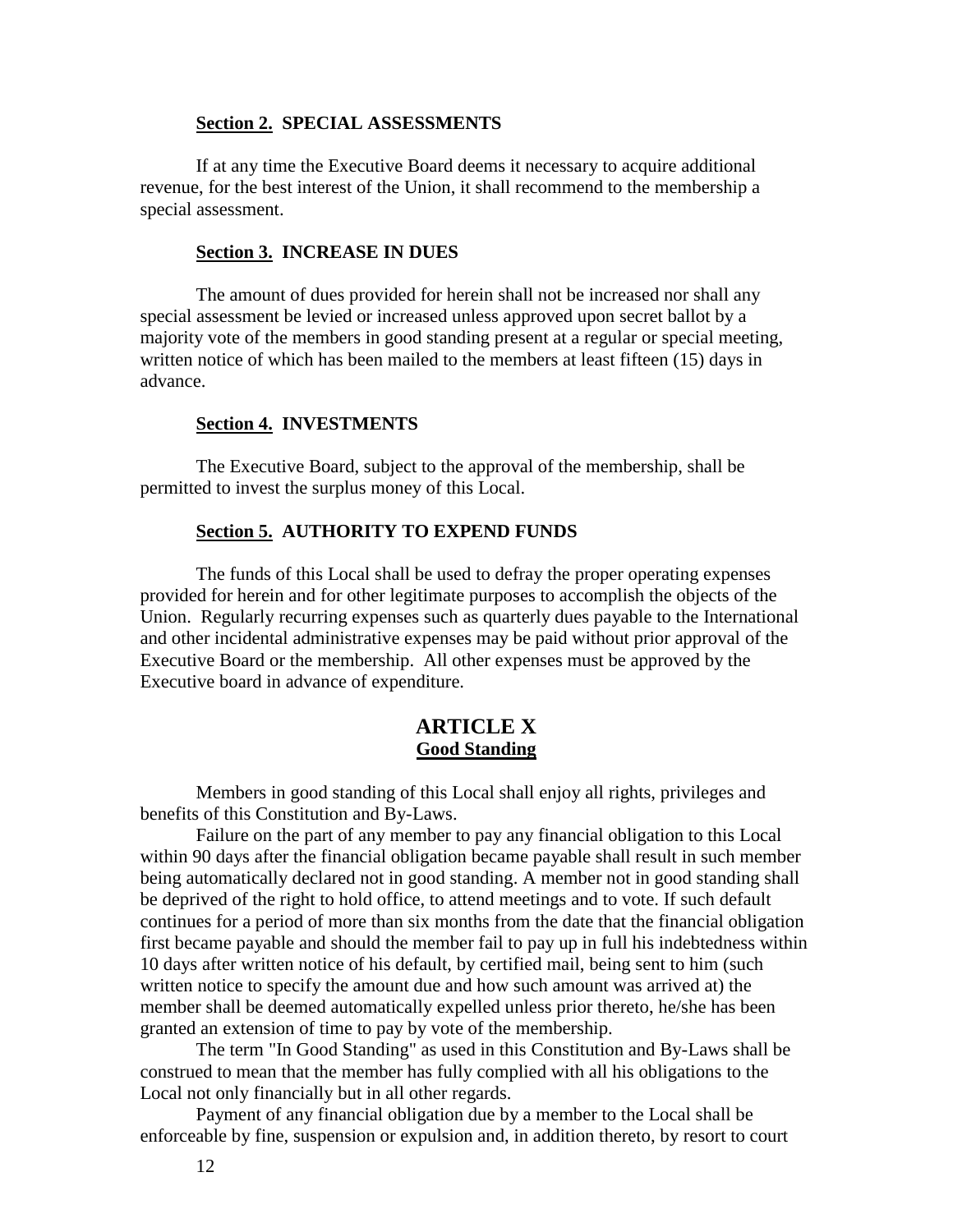#### **Section 2. SPECIAL ASSESSMENTS**

If at any time the Executive Board deems it necessary to acquire additional revenue, for the best interest of the Union, it shall recommend to the membership a special assessment.

#### **Section 3. INCREASE IN DUES**

The amount of dues provided for herein shall not be increased nor shall any special assessment be levied or increased unless approved upon secret ballot by a majority vote of the members in good standing present at a regular or special meeting, written notice of which has been mailed to the members at least fifteen (15) days in advance.

#### **Section 4. INVESTMENTS**

The Executive Board, subject to the approval of the membership, shall be permitted to invest the surplus money of this Local.

#### **Section 5. AUTHORITY TO EXPEND FUNDS**

The funds of this Local shall be used to defray the proper operating expenses provided for herein and for other legitimate purposes to accomplish the objects of the Union. Regularly recurring expenses such as quarterly dues payable to the International and other incidental administrative expenses may be paid without prior approval of the Executive Board or the membership. All other expenses must be approved by the Executive board in advance of expenditure.

# **ARTICLE X Good Standing**

Members in good standing of this Local shall enjoy all rights, privileges and benefits of this Constitution and By-Laws.

Failure on the part of any member to pay any financial obligation to this Local within 90 days after the financial obligation became payable shall result in such member being automatically declared not in good standing. A member not in good standing shall be deprived of the right to hold office, to attend meetings and to vote. If such default continues for a period of more than six months from the date that the financial obligation first became payable and should the member fail to pay up in full his indebtedness within 10 days after written notice of his default, by certified mail, being sent to him (such written notice to specify the amount due and how such amount was arrived at) the member shall be deemed automatically expelled unless prior thereto, he/she has been granted an extension of time to pay by vote of the membership.

The term "In Good Standing" as used in this Constitution and By-Laws shall be construed to mean that the member has fully complied with all his obligations to the Local not only financially but in all other regards.

Payment of any financial obligation due by a member to the Local shall be enforceable by fine, suspension or expulsion and, in addition thereto, by resort to court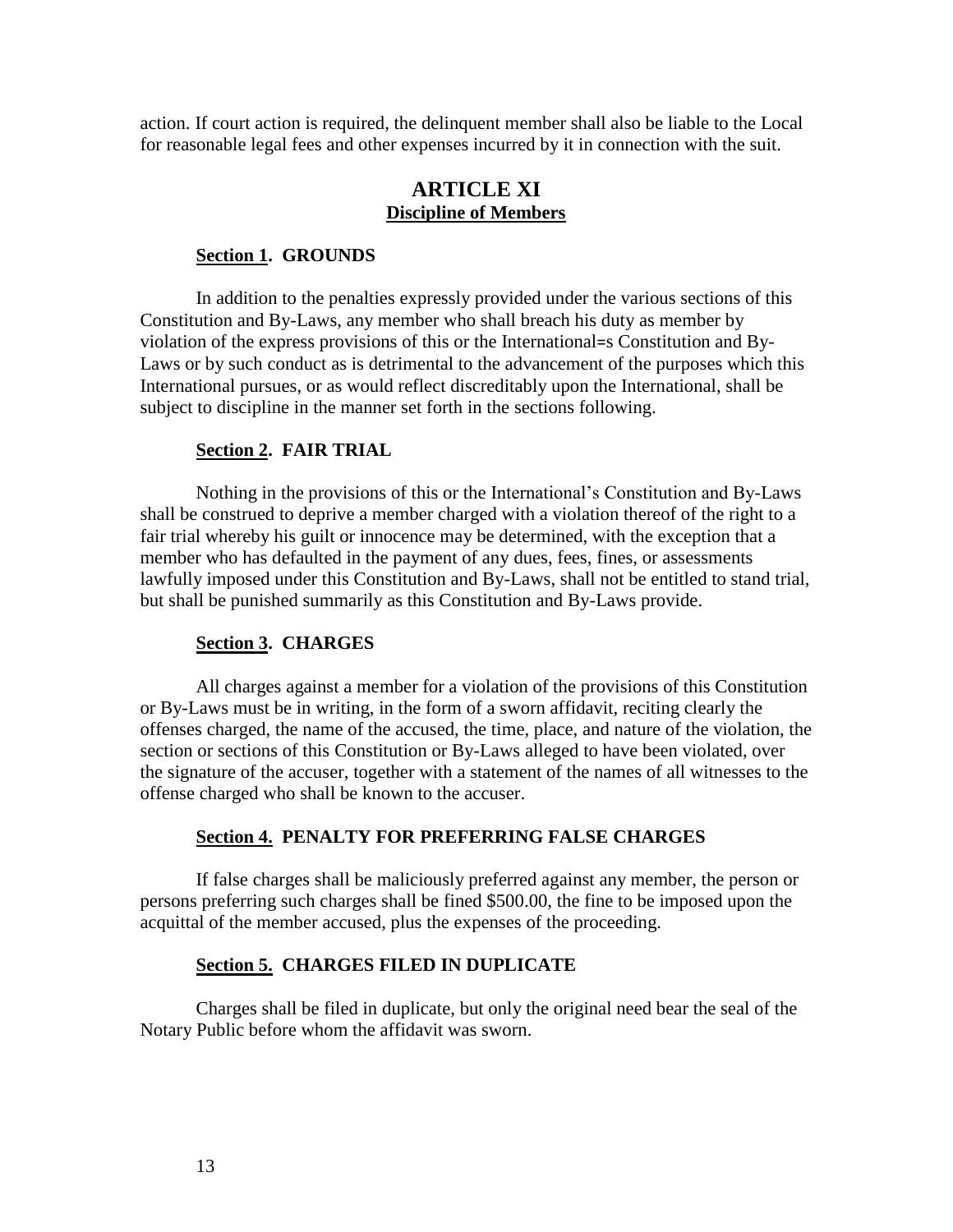action. If court action is required, the delinquent member shall also be liable to the Local for reasonable legal fees and other expenses incurred by it in connection with the suit.

# **ARTICLE XI Discipline of Members**

#### **Section 1. GROUNDS**

In addition to the penalties expressly provided under the various sections of this Constitution and By-Laws, any member who shall breach his duty as member by violation of the express provisions of this or the International=s Constitution and By-Laws or by such conduct as is detrimental to the advancement of the purposes which this International pursues, or as would reflect discreditably upon the International, shall be subject to discipline in the manner set forth in the sections following.

# **Section 2. FAIR TRIAL**

Nothing in the provisions of this or the International's Constitution and By-Laws shall be construed to deprive a member charged with a violation thereof of the right to a fair trial whereby his guilt or innocence may be determined, with the exception that a member who has defaulted in the payment of any dues, fees, fines, or assessments lawfully imposed under this Constitution and By-Laws, shall not be entitled to stand trial, but shall be punished summarily as this Constitution and By-Laws provide.

#### **Section 3. CHARGES**

All charges against a member for a violation of the provisions of this Constitution or By-Laws must be in writing, in the form of a sworn affidavit, reciting clearly the offenses charged, the name of the accused, the time, place, and nature of the violation, the section or sections of this Constitution or By-Laws alleged to have been violated, over the signature of the accuser, together with a statement of the names of all witnesses to the offense charged who shall be known to the accuser.

#### **Section 4. PENALTY FOR PREFERRING FALSE CHARGES**

If false charges shall be maliciously preferred against any member, the person or persons preferring such charges shall be fined \$500.00, the fine to be imposed upon the acquittal of the member accused, plus the expenses of the proceeding.

#### **Section 5. CHARGES FILED IN DUPLICATE**

Charges shall be filed in duplicate, but only the original need bear the seal of the Notary Public before whom the affidavit was sworn.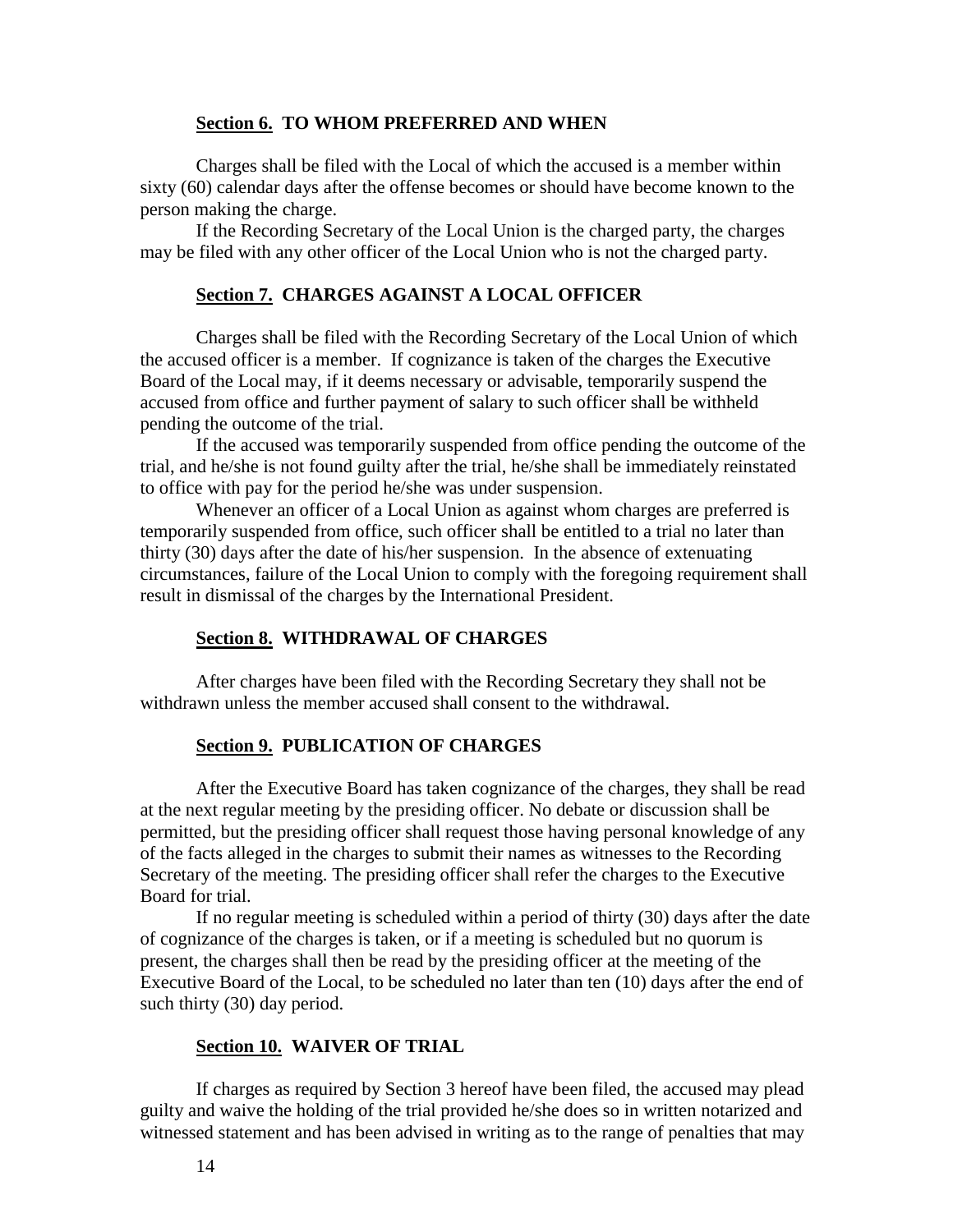#### **Section 6. TO WHOM PREFERRED AND WHEN**

Charges shall be filed with the Local of which the accused is a member within sixty (60) calendar days after the offense becomes or should have become known to the person making the charge.

If the Recording Secretary of the Local Union is the charged party, the charges may be filed with any other officer of the Local Union who is not the charged party.

# **Section 7. CHARGES AGAINST A LOCAL OFFICER**

Charges shall be filed with the Recording Secretary of the Local Union of which the accused officer is a member. If cognizance is taken of the charges the Executive Board of the Local may, if it deems necessary or advisable, temporarily suspend the accused from office and further payment of salary to such officer shall be withheld pending the outcome of the trial.

If the accused was temporarily suspended from office pending the outcome of the trial, and he/she is not found guilty after the trial, he/she shall be immediately reinstated to office with pay for the period he/she was under suspension.

Whenever an officer of a Local Union as against whom charges are preferred is temporarily suspended from office, such officer shall be entitled to a trial no later than thirty (30) days after the date of his/her suspension. In the absence of extenuating circumstances, failure of the Local Union to comply with the foregoing requirement shall result in dismissal of the charges by the International President.

#### **Section 8. WITHDRAWAL OF CHARGES**

After charges have been filed with the Recording Secretary they shall not be withdrawn unless the member accused shall consent to the withdrawal.

#### **Section 9. PUBLICATION OF CHARGES**

After the Executive Board has taken cognizance of the charges, they shall be read at the next regular meeting by the presiding officer. No debate or discussion shall be permitted, but the presiding officer shall request those having personal knowledge of any of the facts alleged in the charges to submit their names as witnesses to the Recording Secretary of the meeting. The presiding officer shall refer the charges to the Executive Board for trial.

If no regular meeting is scheduled within a period of thirty (30) days after the date of cognizance of the charges is taken, or if a meeting is scheduled but no quorum is present, the charges shall then be read by the presiding officer at the meeting of the Executive Board of the Local, to be scheduled no later than ten (10) days after the end of such thirty (30) day period.

# **Section 10. WAIVER OF TRIAL**

If charges as required by Section 3 hereof have been filed, the accused may plead guilty and waive the holding of the trial provided he/she does so in written notarized and witnessed statement and has been advised in writing as to the range of penalties that may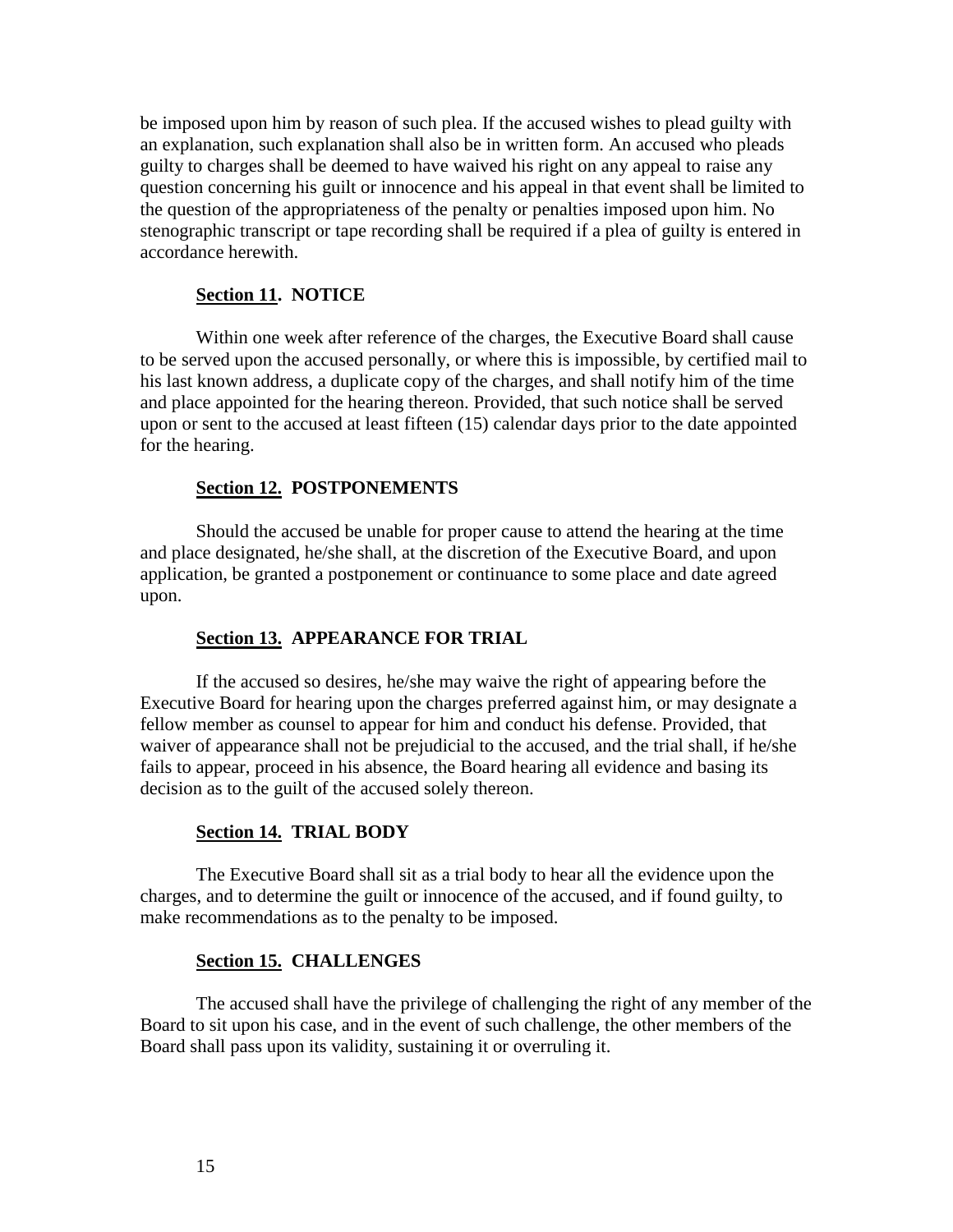be imposed upon him by reason of such plea. If the accused wishes to plead guilty with an explanation, such explanation shall also be in written form. An accused who pleads guilty to charges shall be deemed to have waived his right on any appeal to raise any question concerning his guilt or innocence and his appeal in that event shall be limited to the question of the appropriateness of the penalty or penalties imposed upon him. No stenographic transcript or tape recording shall be required if a plea of guilty is entered in accordance herewith.

#### **Section 11. NOTICE**

Within one week after reference of the charges, the Executive Board shall cause to be served upon the accused personally, or where this is impossible, by certified mail to his last known address, a duplicate copy of the charges, and shall notify him of the time and place appointed for the hearing thereon. Provided, that such notice shall be served upon or sent to the accused at least fifteen (15) calendar days prior to the date appointed for the hearing.

#### **Section 12. POSTPONEMENTS**

Should the accused be unable for proper cause to attend the hearing at the time and place designated, he/she shall, at the discretion of the Executive Board, and upon application, be granted a postponement or continuance to some place and date agreed upon.

#### **Section 13. APPEARANCE FOR TRIAL**

If the accused so desires, he/she may waive the right of appearing before the Executive Board for hearing upon the charges preferred against him, or may designate a fellow member as counsel to appear for him and conduct his defense. Provided, that waiver of appearance shall not be prejudicial to the accused, and the trial shall, if he/she fails to appear, proceed in his absence, the Board hearing all evidence and basing its decision as to the guilt of the accused solely thereon.

#### **Section 14. TRIAL BODY**

The Executive Board shall sit as a trial body to hear all the evidence upon the charges, and to determine the guilt or innocence of the accused, and if found guilty, to make recommendations as to the penalty to be imposed.

#### **Section 15. CHALLENGES**

The accused shall have the privilege of challenging the right of any member of the Board to sit upon his case, and in the event of such challenge, the other members of the Board shall pass upon its validity, sustaining it or overruling it.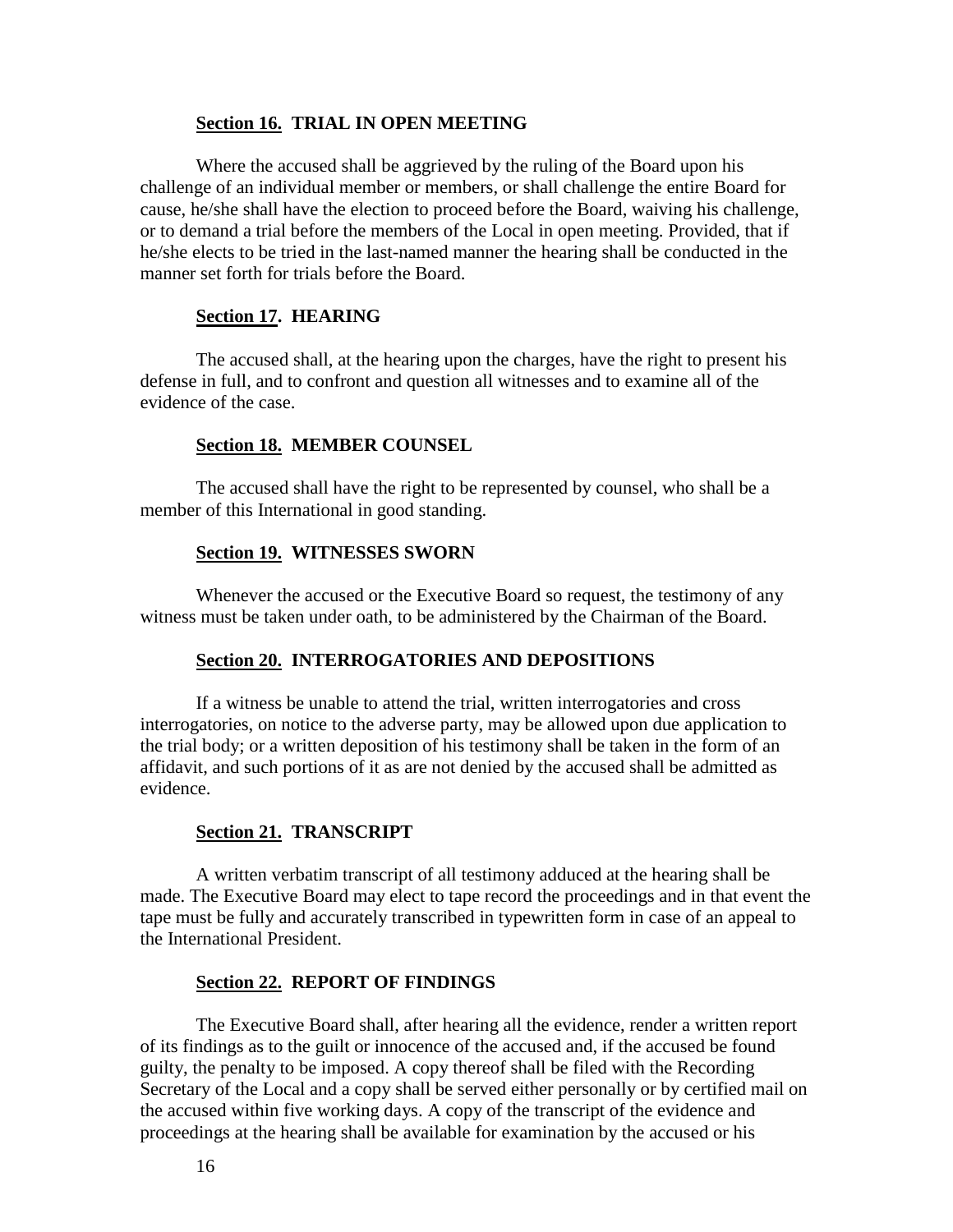#### **Section 16. TRIAL IN OPEN MEETING**

Where the accused shall be aggrieved by the ruling of the Board upon his challenge of an individual member or members, or shall challenge the entire Board for cause, he/she shall have the election to proceed before the Board, waiving his challenge, or to demand a trial before the members of the Local in open meeting. Provided, that if he/she elects to be tried in the last-named manner the hearing shall be conducted in the manner set forth for trials before the Board.

#### **Section 17. HEARING**

The accused shall, at the hearing upon the charges, have the right to present his defense in full, and to confront and question all witnesses and to examine all of the evidence of the case.

#### **Section 18. MEMBER COUNSEL**

The accused shall have the right to be represented by counsel, who shall be a member of this International in good standing.

#### **Section 19. WITNESSES SWORN**

Whenever the accused or the Executive Board so request, the testimony of any witness must be taken under oath, to be administered by the Chairman of the Board.

#### **Section 20. INTERROGATORIES AND DEPOSITIONS**

If a witness be unable to attend the trial, written interrogatories and cross interrogatories, on notice to the adverse party, may be allowed upon due application to the trial body; or a written deposition of his testimony shall be taken in the form of an affidavit, and such portions of it as are not denied by the accused shall be admitted as evidence.

#### **Section 21. TRANSCRIPT**

A written verbatim transcript of all testimony adduced at the hearing shall be made. The Executive Board may elect to tape record the proceedings and in that event the tape must be fully and accurately transcribed in typewritten form in case of an appeal to the International President.

#### **Section 22. REPORT OF FINDINGS**

The Executive Board shall, after hearing all the evidence, render a written report of its findings as to the guilt or innocence of the accused and, if the accused be found guilty, the penalty to be imposed. A copy thereof shall be filed with the Recording Secretary of the Local and a copy shall be served either personally or by certified mail on the accused within five working days. A copy of the transcript of the evidence and proceedings at the hearing shall be available for examination by the accused or his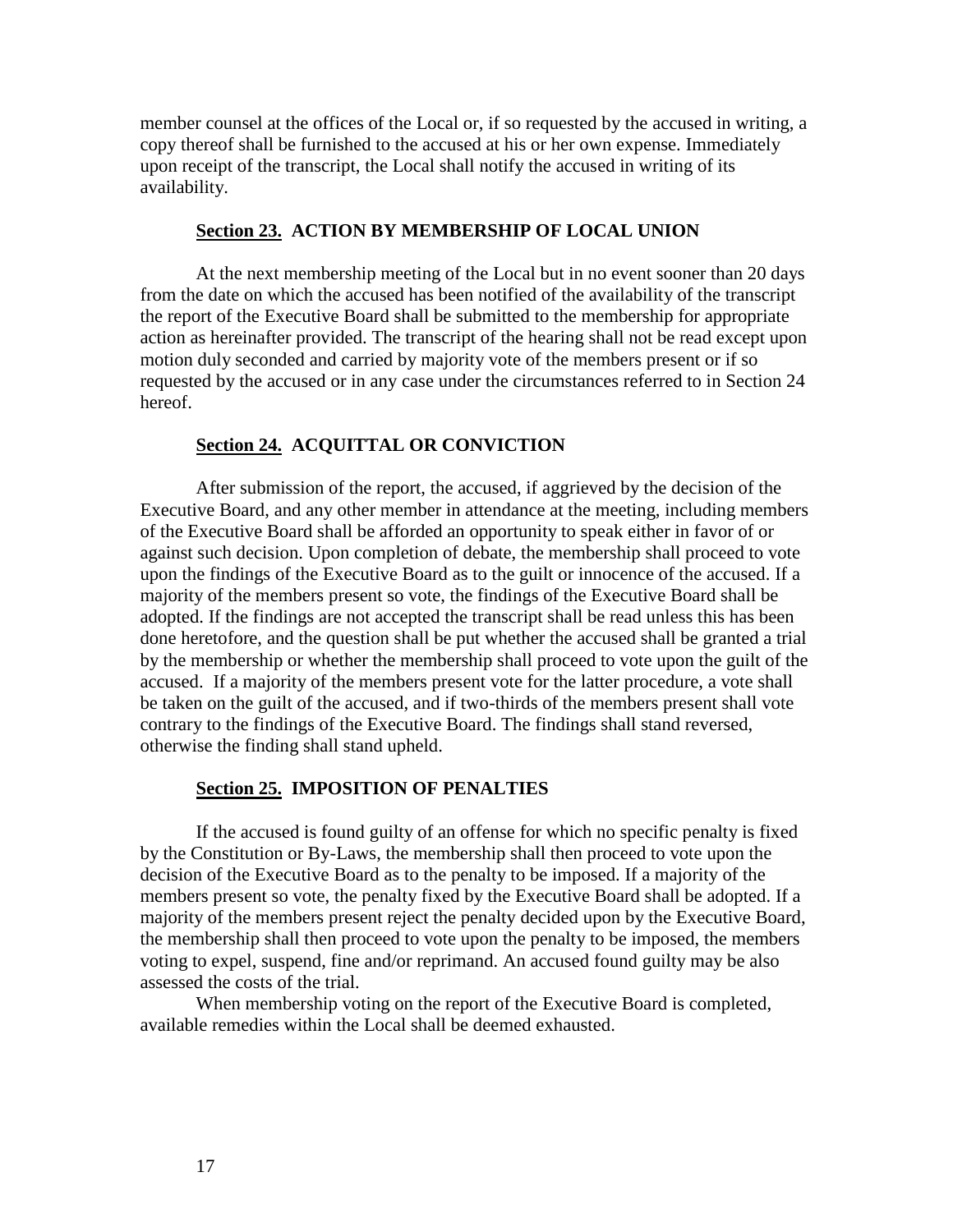member counsel at the offices of the Local or, if so requested by the accused in writing, a copy thereof shall be furnished to the accused at his or her own expense. Immediately upon receipt of the transcript, the Local shall notify the accused in writing of its availability.

# **Section 23. ACTION BY MEMBERSHIP OF LOCAL UNION**

At the next membership meeting of the Local but in no event sooner than 20 days from the date on which the accused has been notified of the availability of the transcript the report of the Executive Board shall be submitted to the membership for appropriate action as hereinafter provided. The transcript of the hearing shall not be read except upon motion duly seconded and carried by majority vote of the members present or if so requested by the accused or in any case under the circumstances referred to in Section 24 hereof.

# **Section 24. ACQUITTAL OR CONVICTION**

After submission of the report, the accused, if aggrieved by the decision of the Executive Board, and any other member in attendance at the meeting, including members of the Executive Board shall be afforded an opportunity to speak either in favor of or against such decision. Upon completion of debate, the membership shall proceed to vote upon the findings of the Executive Board as to the guilt or innocence of the accused. If a majority of the members present so vote, the findings of the Executive Board shall be adopted. If the findings are not accepted the transcript shall be read unless this has been done heretofore, and the question shall be put whether the accused shall be granted a trial by the membership or whether the membership shall proceed to vote upon the guilt of the accused. If a majority of the members present vote for the latter procedure, a vote shall be taken on the guilt of the accused, and if two-thirds of the members present shall vote contrary to the findings of the Executive Board. The findings shall stand reversed, otherwise the finding shall stand upheld.

#### **Section 25. IMPOSITION OF PENALTIES**

If the accused is found guilty of an offense for which no specific penalty is fixed by the Constitution or By-Laws, the membership shall then proceed to vote upon the decision of the Executive Board as to the penalty to be imposed. If a majority of the members present so vote, the penalty fixed by the Executive Board shall be adopted. If a majority of the members present reject the penalty decided upon by the Executive Board, the membership shall then proceed to vote upon the penalty to be imposed, the members voting to expel, suspend, fine and/or reprimand. An accused found guilty may be also assessed the costs of the trial.

When membership voting on the report of the Executive Board is completed, available remedies within the Local shall be deemed exhausted.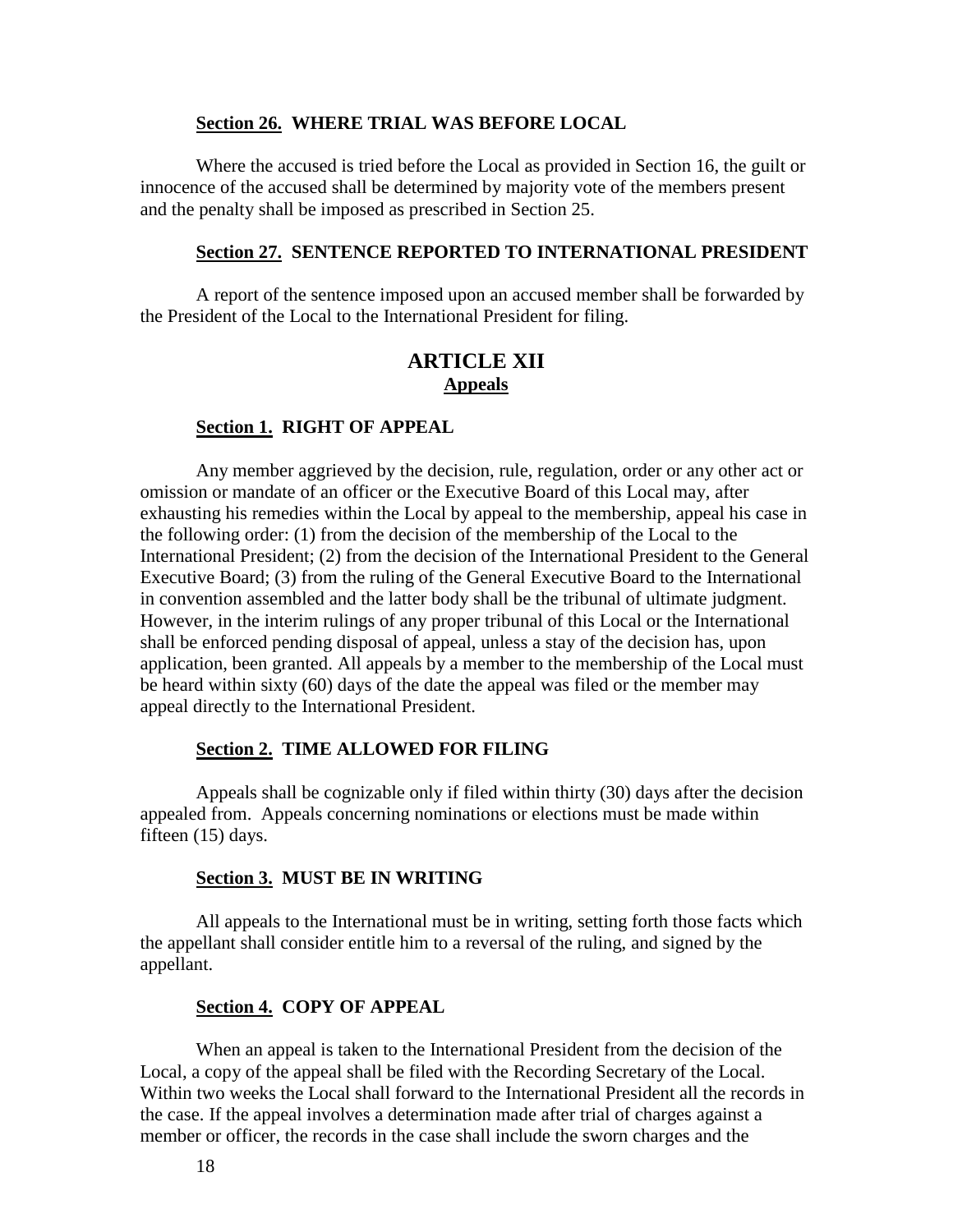#### **Section 26. WHERE TRIAL WAS BEFORE LOCAL**

Where the accused is tried before the Local as provided in Section 16, the guilt or innocence of the accused shall be determined by majority vote of the members present and the penalty shall be imposed as prescribed in Section 25.

#### **Section 27. SENTENCE REPORTED TO INTERNATIONAL PRESIDENT**

A report of the sentence imposed upon an accused member shall be forwarded by the President of the Local to the International President for filing.

# **ARTICLE XII Appeals**

#### **Section 1. RIGHT OF APPEAL**

Any member aggrieved by the decision, rule, regulation, order or any other act or omission or mandate of an officer or the Executive Board of this Local may, after exhausting his remedies within the Local by appeal to the membership, appeal his case in the following order: (1) from the decision of the membership of the Local to the International President; (2) from the decision of the International President to the General Executive Board; (3) from the ruling of the General Executive Board to the International in convention assembled and the latter body shall be the tribunal of ultimate judgment. However, in the interim rulings of any proper tribunal of this Local or the International shall be enforced pending disposal of appeal, unless a stay of the decision has, upon application, been granted. All appeals by a member to the membership of the Local must be heard within sixty (60) days of the date the appeal was filed or the member may appeal directly to the International President.

#### **Section 2. TIME ALLOWED FOR FILING**

Appeals shall be cognizable only if filed within thirty (30) days after the decision appealed from. Appeals concerning nominations or elections must be made within fifteen (15) days.

#### **Section 3. MUST BE IN WRITING**

All appeals to the International must be in writing, setting forth those facts which the appellant shall consider entitle him to a reversal of the ruling, and signed by the appellant.

#### **Section 4. COPY OF APPEAL**

When an appeal is taken to the International President from the decision of the Local, a copy of the appeal shall be filed with the Recording Secretary of the Local. Within two weeks the Local shall forward to the International President all the records in the case. If the appeal involves a determination made after trial of charges against a member or officer, the records in the case shall include the sworn charges and the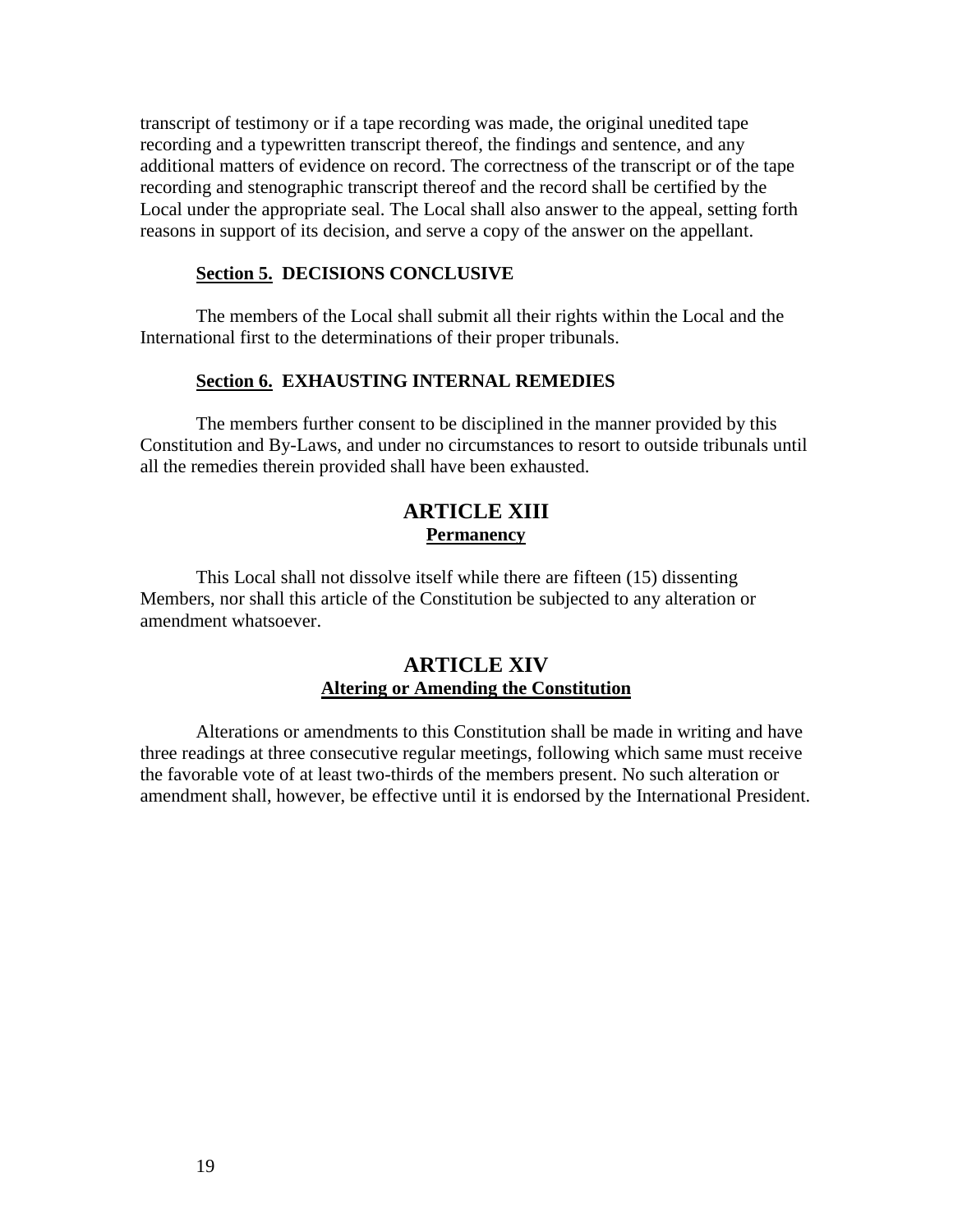transcript of testimony or if a tape recording was made, the original unedited tape recording and a typewritten transcript thereof, the findings and sentence, and any additional matters of evidence on record. The correctness of the transcript or of the tape recording and stenographic transcript thereof and the record shall be certified by the Local under the appropriate seal. The Local shall also answer to the appeal, setting forth reasons in support of its decision, and serve a copy of the answer on the appellant.

### **Section 5. DECISIONS CONCLUSIVE**

The members of the Local shall submit all their rights within the Local and the International first to the determinations of their proper tribunals.

#### **Section 6. EXHAUSTING INTERNAL REMEDIES**

The members further consent to be disciplined in the manner provided by this Constitution and By-Laws, and under no circumstances to resort to outside tribunals until all the remedies therein provided shall have been exhausted.

# **ARTICLE XIII Permanency**

This Local shall not dissolve itself while there are fifteen (15) dissenting Members, nor shall this article of the Constitution be subjected to any alteration or amendment whatsoever.

# **ARTICLE XIV Altering or Amending the Constitution**

Alterations or amendments to this Constitution shall be made in writing and have three readings at three consecutive regular meetings, following which same must receive the favorable vote of at least two-thirds of the members present. No such alteration or amendment shall, however, be effective until it is endorsed by the International President.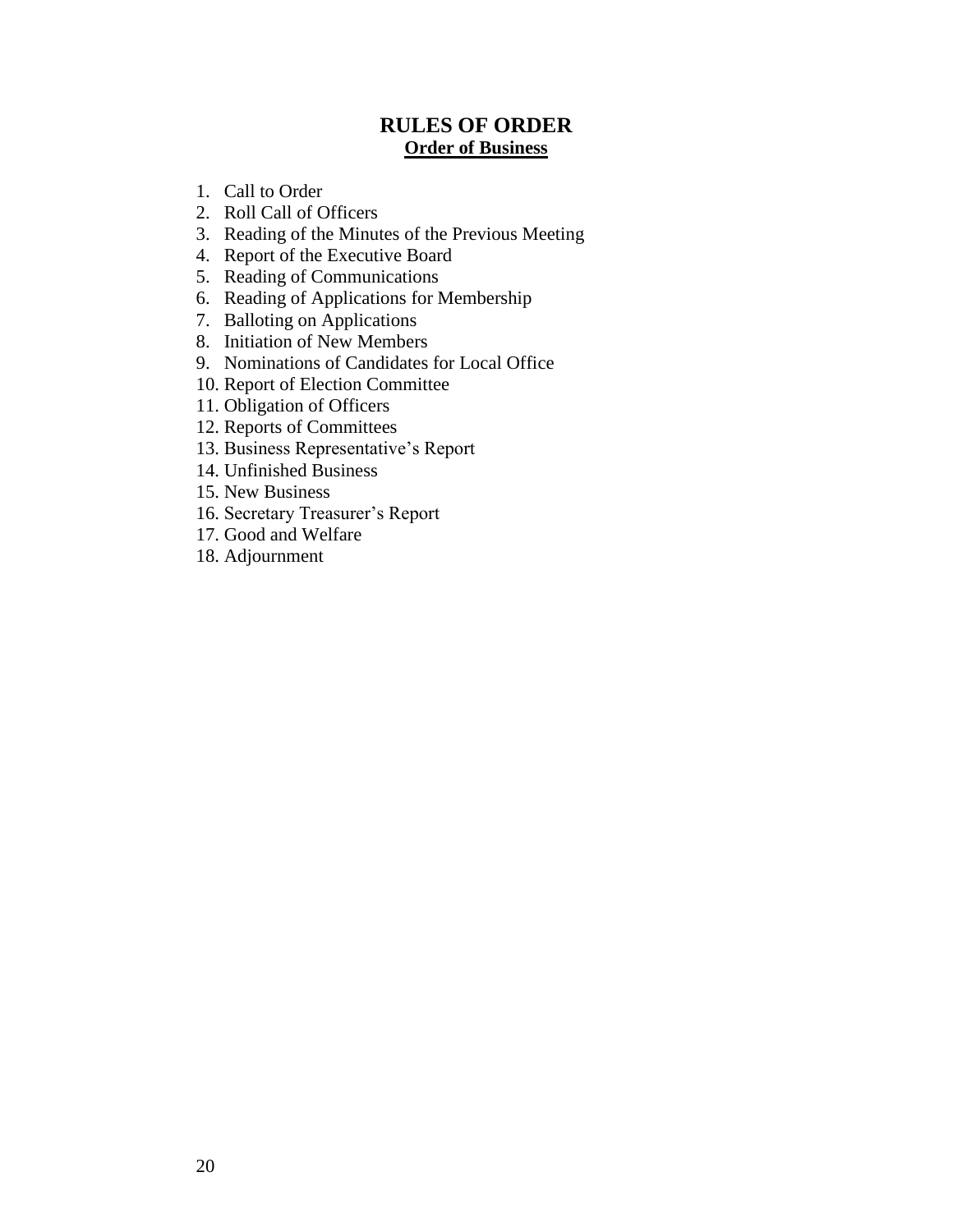# **RULES OF ORDER Order of Business**

- 1. Call to Order
- 2. Roll Call of Officers
- 3. Reading of the Minutes of the Previous Meeting
- 4. Report of the Executive Board
- 5. Reading of Communications
- 6. Reading of Applications for Membership
- 7. Balloting on Applications
- 8. Initiation of New Members
- 9. Nominations of Candidates for Local Office
- 10. Report of Election Committee
- 11. Obligation of Officers
- 12. Reports of Committees
- 13. Business Representative's Report
- 14. Unfinished Business
- 15. New Business
- 16. Secretary Treasurer's Report
- 17. Good and Welfare
- 18. Adjournment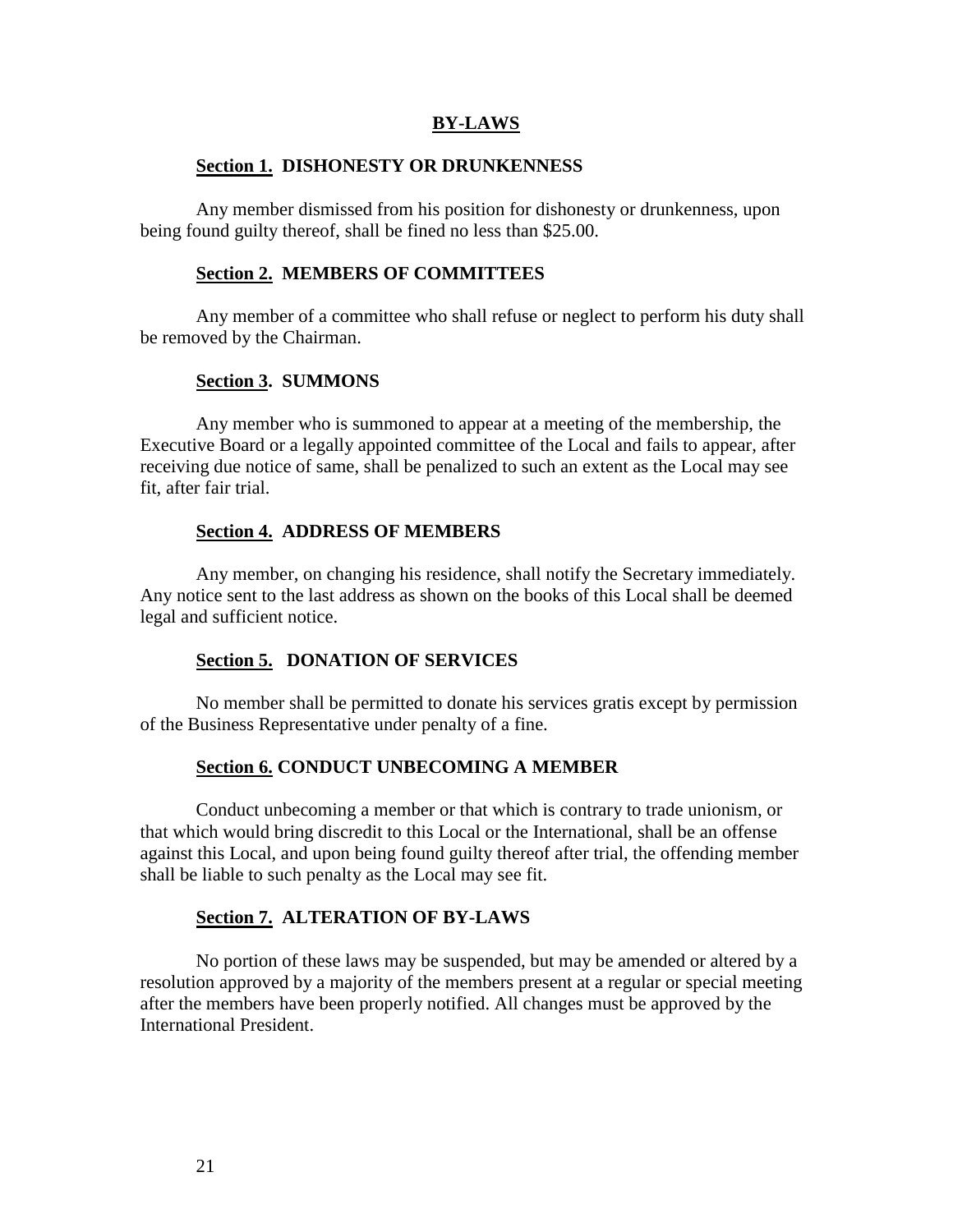#### **BY-LAWS**

#### **Section 1. DISHONESTY OR DRUNKENNESS**

Any member dismissed from his position for dishonesty or drunkenness, upon being found guilty thereof, shall be fined no less than \$25.00.

#### **Section 2. MEMBERS OF COMMITTEES**

Any member of a committee who shall refuse or neglect to perform his duty shall be removed by the Chairman.

#### **Section 3. SUMMONS**

Any member who is summoned to appear at a meeting of the membership, the Executive Board or a legally appointed committee of the Local and fails to appear, after receiving due notice of same, shall be penalized to such an extent as the Local may see fit, after fair trial.

#### **Section 4. ADDRESS OF MEMBERS**

Any member, on changing his residence, shall notify the Secretary immediately. Any notice sent to the last address as shown on the books of this Local shall be deemed legal and sufficient notice.

# **Section 5. DONATION OF SERVICES**

No member shall be permitted to donate his services gratis except by permission of the Business Representative under penalty of a fine.

#### **Section 6. CONDUCT UNBECOMING A MEMBER**

Conduct unbecoming a member or that which is contrary to trade unionism, or that which would bring discredit to this Local or the International, shall be an offense against this Local, and upon being found guilty thereof after trial, the offending member shall be liable to such penalty as the Local may see fit.

#### **Section 7. ALTERATION OF BY-LAWS**

No portion of these laws may be suspended, but may be amended or altered by a resolution approved by a majority of the members present at a regular or special meeting after the members have been properly notified. All changes must be approved by the International President.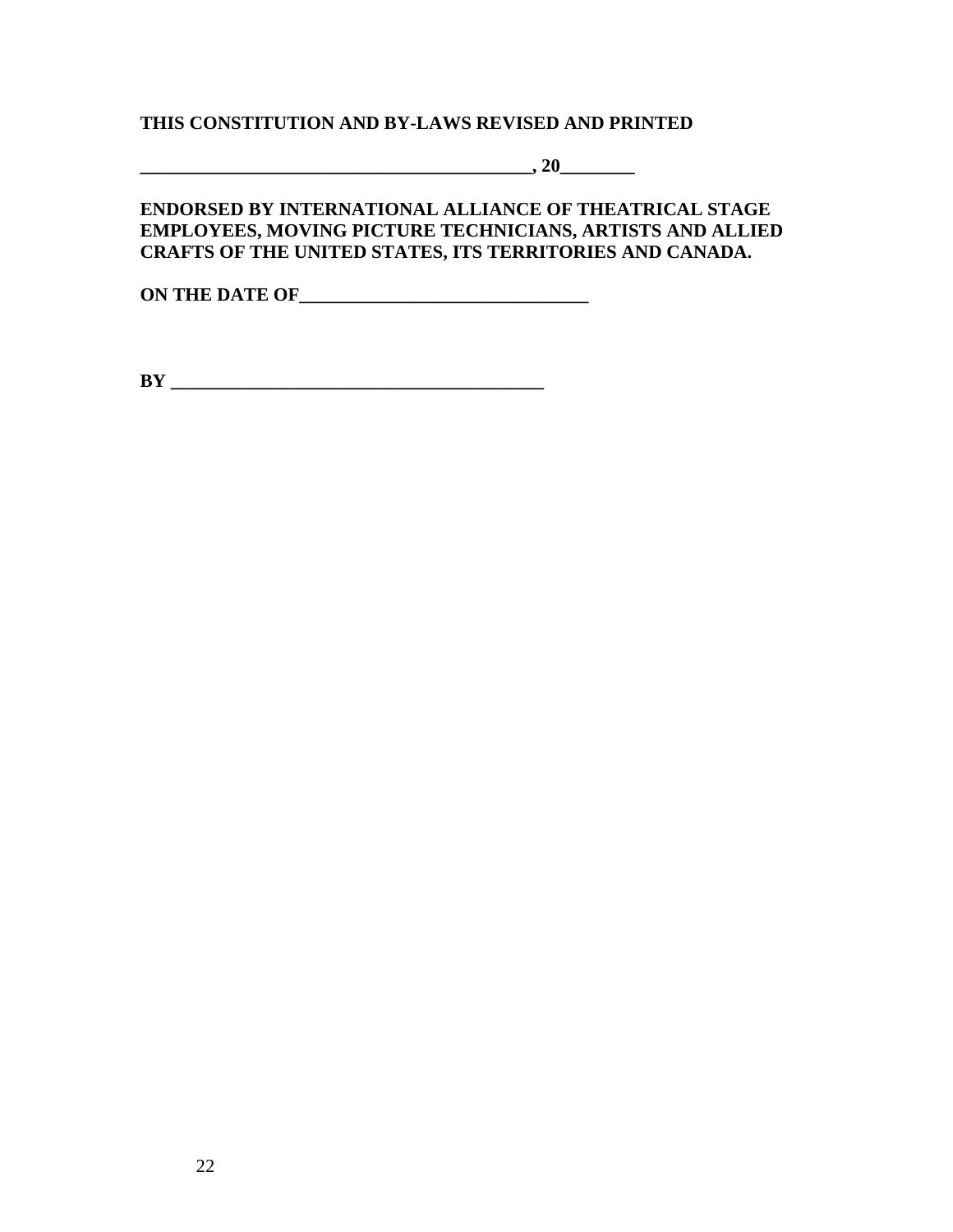# **THIS CONSTITUTION AND BY-LAWS REVISED AND PRINTED**

**\_\_\_\_\_\_\_\_\_\_\_\_\_\_\_\_\_\_\_\_\_\_\_\_\_\_\_\_\_\_\_\_\_\_\_\_\_\_\_\_\_\_, 20\_\_\_\_\_\_\_\_**

# **ENDORSED BY INTERNATIONAL ALLIANCE OF THEATRICAL STAGE EMPLOYEES, MOVING PICTURE TECHNICIANS, ARTISTS AND ALLIED CRAFTS OF THE UNITED STATES, ITS TERRITORIES AND CANADA.**

**ON THE DATE OF\_\_\_\_\_\_\_\_\_\_\_\_\_\_\_\_\_\_\_\_\_\_\_\_\_\_\_\_\_\_\_**

**BY \_\_\_\_\_\_\_\_\_\_\_\_\_\_\_\_\_\_\_\_\_\_\_\_\_\_\_\_\_\_\_\_\_\_\_\_\_\_\_\_**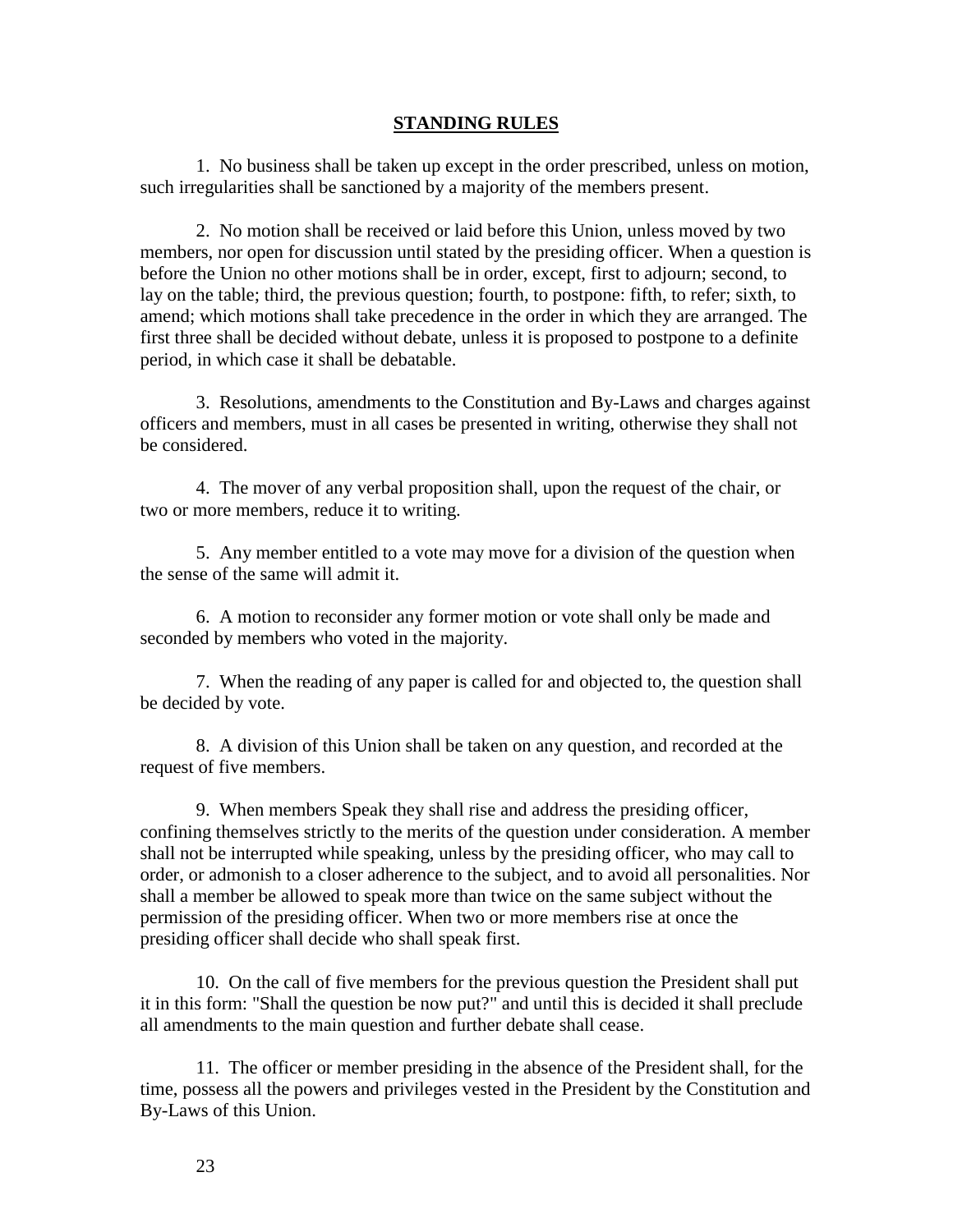#### **STANDING RULES**

1. No business shall be taken up except in the order prescribed, unless on motion, such irregularities shall be sanctioned by a majority of the members present.

2. No motion shall be received or laid before this Union, unless moved by two members, nor open for discussion until stated by the presiding officer. When a question is before the Union no other motions shall be in order, except, first to adjourn; second, to lay on the table; third, the previous question; fourth, to postpone: fifth, to refer; sixth, to amend; which motions shall take precedence in the order in which they are arranged. The first three shall be decided without debate, unless it is proposed to postpone to a definite period, in which case it shall be debatable.

3. Resolutions, amendments to the Constitution and By-Laws and charges against officers and members, must in all cases be presented in writing, otherwise they shall not be considered.

4. The mover of any verbal proposition shall, upon the request of the chair, or two or more members, reduce it to writing.

5. Any member entitled to a vote may move for a division of the question when the sense of the same will admit it.

6. A motion to reconsider any former motion or vote shall only be made and seconded by members who voted in the majority.

7. When the reading of any paper is called for and objected to, the question shall be decided by vote.

8. A division of this Union shall be taken on any question, and recorded at the request of five members.

9. When members Speak they shall rise and address the presiding officer, confining themselves strictly to the merits of the question under consideration. A member shall not be interrupted while speaking, unless by the presiding officer, who may call to order, or admonish to a closer adherence to the subject, and to avoid all personalities. Nor shall a member be allowed to speak more than twice on the same subject without the permission of the presiding officer. When two or more members rise at once the presiding officer shall decide who shall speak first.

10. On the call of five members for the previous question the President shall put it in this form: "Shall the question be now put?" and until this is decided it shall preclude all amendments to the main question and further debate shall cease.

11. The officer or member presiding in the absence of the President shall, for the time, possess all the powers and privileges vested in the President by the Constitution and By-Laws of this Union.